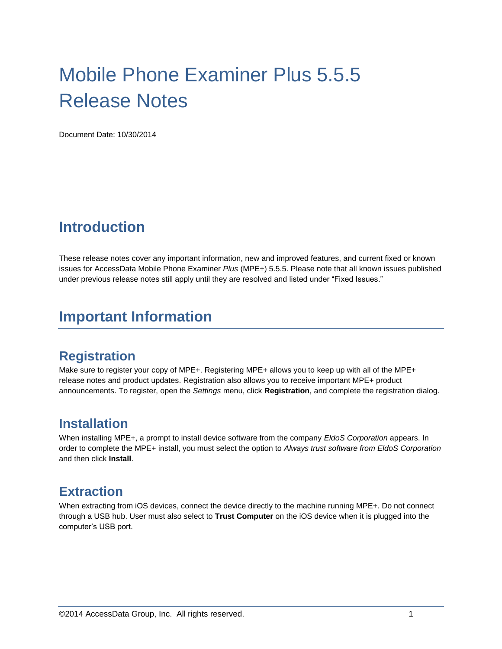# Mobile Phone Examiner Plus 5.5.5 Release Notes

Document Date: 10/30/2014

# **Introduction**

These release notes cover any important information, new and improved features, and current fixed or known issues for AccessData Mobile Phone Examiner *Plus* (MPE+) 5.5.5. Please note that all known issues published under previous release notes still apply until they are resolved and listed under "Fixed Issues."

# **Important Information**

#### **Registration**

Make sure to register your copy of MPE+. Registering MPE+ allows you to keep up with all of the MPE+ release notes and product updates. Registration also allows you to receive important MPE+ product announcements. To register, open the *Settings* menu, click **Registration**, and complete the registration dialog.

#### **Installation**

When installing MPE+, a prompt to install device software from the company *EldoS Corporation* appears. In order to complete the MPE+ install, you must select the option to *Always trust software from EldoS Corporation* and then click **Install**.

#### **Extraction**

When extracting from iOS devices, connect the device directly to the machine running MPE+. Do not connect through a USB hub. User must also select to **Trust Computer** on the iOS device when it is plugged into the computer's USB port.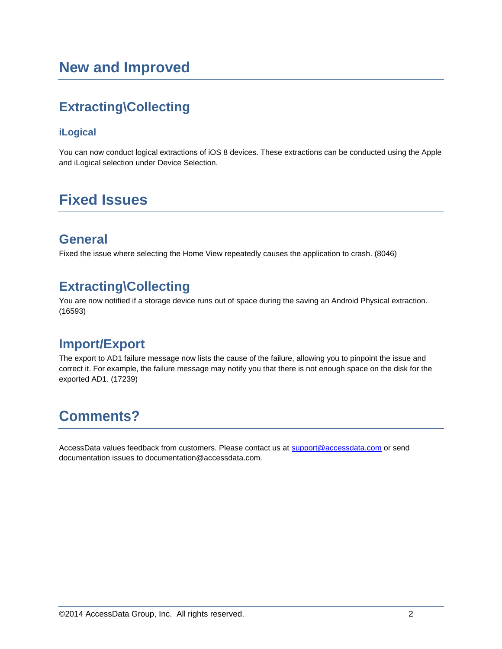# **Extracting\Collecting**

#### **iLogical**

You can now conduct logical extractions of iOS 8 devices. These extractions can be conducted using the Apple and iLogical selection under Device Selection.

# **Fixed Issues**

#### **General**

Fixed the issue where selecting the Home View repeatedly causes the application to crash. (8046)

### **Extracting\Collecting**

You are now notified if a storage device runs out of space during the saving an Android Physical extraction. (16593)

#### **Import/Export**

The export to AD1 failure message now lists the cause of the failure, allowing you to pinpoint the issue and correct it. For example, the failure message may notify you that there is not enough space on the disk for the exported AD1. (17239)

# **Comments?**

AccessData values feedback from customers. Please contact us at [support@accessdata.com](mailto:support@accessdata.com) or send documentation issues to documentation@accessdata.com.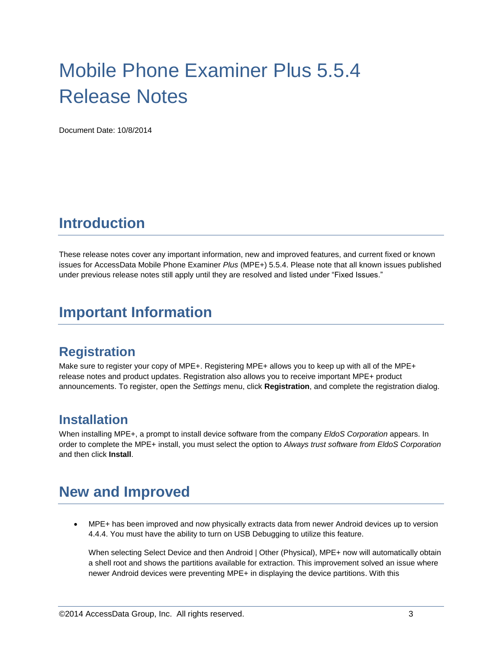# Mobile Phone Examiner Plus 5.5.4 Release Notes

Document Date: 10/8/2014

## **Introduction**

These release notes cover any important information, new and improved features, and current fixed or known issues for AccessData Mobile Phone Examiner *Plus* (MPE+) 5.5.4. Please note that all known issues published under previous release notes still apply until they are resolved and listed under "Fixed Issues."

## **Important Information**

#### **Registration**

Make sure to register your copy of MPE+. Registering MPE+ allows you to keep up with all of the MPE+ release notes and product updates. Registration also allows you to receive important MPE+ product announcements. To register, open the *Settings* menu, click **Registration**, and complete the registration dialog.

#### **Installation**

When installing MPE+, a prompt to install device software from the company *EldoS Corporation* appears. In order to complete the MPE+ install, you must select the option to *Always trust software from EldoS Corporation* and then click **Install**.

# **New and Improved**

 MPE+ has been improved and now physically extracts data from newer Android devices up to version 4.4.4. You must have the ability to turn on USB Debugging to utilize this feature.

When selecting Select Device and then Android | Other (Physical), MPE+ now will automatically obtain a shell root and shows the partitions available for extraction. This improvement solved an issue where newer Android devices were preventing MPE+ in displaying the device partitions. With this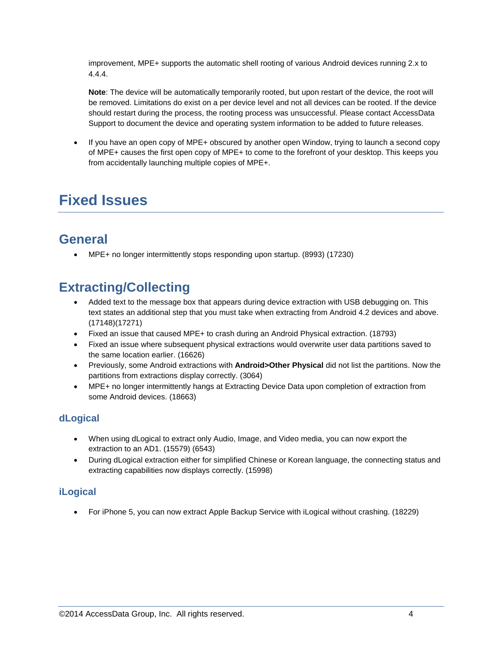improvement, MPE+ supports the automatic shell rooting of various Android devices running 2.x to 4.4.4.

**Note**: The device will be automatically temporarily rooted, but upon restart of the device, the root will be removed. Limitations do exist on a per device level and not all devices can be rooted. If the device should restart during the process, the rooting process was unsuccessful. Please contact AccessData Support to document the device and operating system information to be added to future releases.

 If you have an open copy of MPE+ obscured by another open Window, trying to launch a second copy of MPE+ causes the first open copy of MPE+ to come to the forefront of your desktop. This keeps you from accidentally launching multiple copies of MPE+.

# **Fixed Issues**

## **General**

MPE+ no longer intermittently stops responding upon startup. (8993) (17230)

### **Extracting/Collecting**

- Added text to the message box that appears during device extraction with USB debugging on. This text states an additional step that you must take when extracting from Android 4.2 devices and above. (17148)(17271)
- Fixed an issue that caused MPE+ to crash during an Android Physical extraction. (18793)
- Fixed an issue where subsequent physical extractions would overwrite user data partitions saved to the same location earlier. (16626)
- Previously, some Android extractions with **Android>Other Physical** did not list the partitions. Now the partitions from extractions display correctly. (3064)
- MPE+ no longer intermittently hangs at Extracting Device Data upon completion of extraction from some Android devices. (18663)

#### **dLogical**

- When using dLogical to extract only Audio, Image, and Video media, you can now export the extraction to an AD1. (15579) (6543)
- During dLogical extraction either for simplified Chinese or Korean language, the connecting status and extracting capabilities now displays correctly. (15998)

#### **iLogical**

For iPhone 5, you can now extract Apple Backup Service with iLogical without crashing. (18229)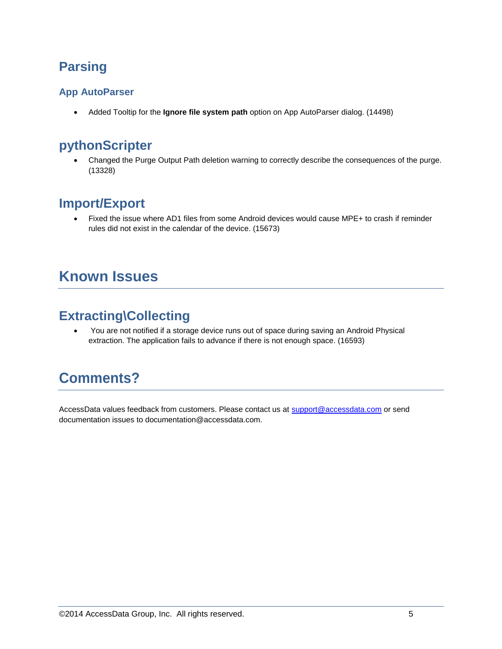## **Parsing**

#### **App AutoParser**

Added Tooltip for the **Ignore file system path** option on App AutoParser dialog. (14498)

#### **pythonScripter**

 Changed the Purge Output Path deletion warning to correctly describe the consequences of the purge. (13328)

### **Import/Export**

 Fixed the issue where AD1 files from some Android devices would cause MPE+ to crash if reminder rules did not exist in the calendar of the device. (15673)

# **Known Issues**

#### **Extracting\Collecting**

 You are not notified if a storage device runs out of space during saving an Android Physical extraction. The application fails to advance if there is not enough space. (16593)

# **Comments?**

AccessData values feedback from customers. Please contact us at [support@accessdata.com](mailto:support@accessdata.com) or send documentation issues to documentation@accessdata.com.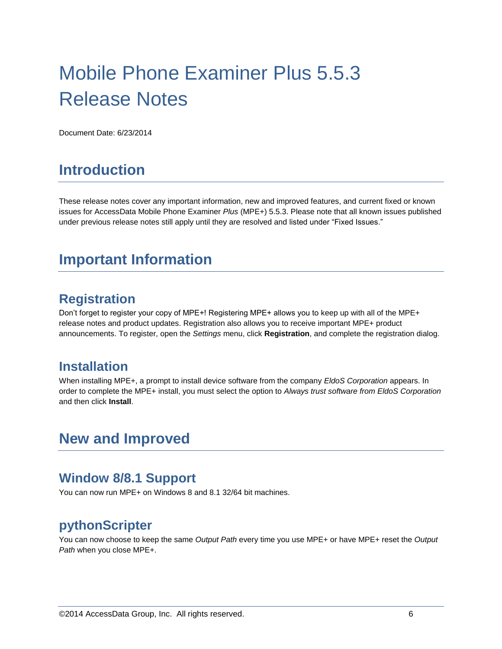# Mobile Phone Examiner Plus 5.5.3 Release Notes

Document Date: 6/23/2014

## **Introduction**

These release notes cover any important information, new and improved features, and current fixed or known issues for AccessData Mobile Phone Examiner *Plus* (MPE+) 5.5.3. Please note that all known issues published under previous release notes still apply until they are resolved and listed under "Fixed Issues."

## **Important Information**

#### **Registration**

Don't forget to register your copy of MPE+! Registering MPE+ allows you to keep up with all of the MPE+ release notes and product updates. Registration also allows you to receive important MPE+ product announcements. To register, open the *Settings* menu, click **Registration**, and complete the registration dialog.

#### **Installation**

When installing MPE+, a prompt to install device software from the company *EldoS Corporation* appears. In order to complete the MPE+ install, you must select the option to *Always trust software from EldoS Corporation* and then click **Install**.

### **New and Improved**

#### **Window 8/8.1 Support**

You can now run MPE+ on Windows 8 and 8.1 32/64 bit machines.

#### **pythonScripter**

You can now choose to keep the same *Output Path* every time you use MPE+ or have MPE+ reset the *Output Path* when you close MPE+.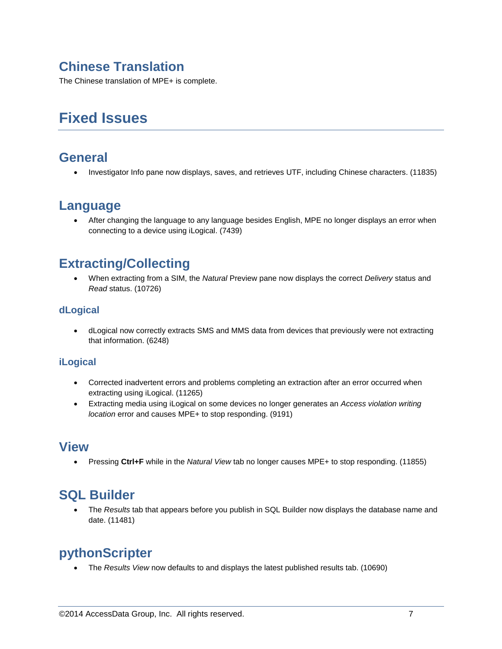## **Chinese Translation**

The Chinese translation of MPE+ is complete.

# **Fixed Issues**

#### **General**

Investigator Info pane now displays, saves, and retrieves UTF, including Chinese characters. (11835)

#### **Language**

 After changing the language to any language besides English, MPE no longer displays an error when connecting to a device using iLogical. (7439)

### **Extracting/Collecting**

 When extracting from a SIM, the *Natural* Preview pane now displays the correct *Delivery* status and *Read* status. (10726)

#### **dLogical**

 dLogical now correctly extracts SMS and MMS data from devices that previously were not extracting that information. (6248)

#### **iLogical**

- Corrected inadvertent errors and problems completing an extraction after an error occurred when extracting using iLogical. (11265)
- Extracting media using iLogical on some devices no longer generates an *Access violation writing location* error and causes MPE+ to stop responding. (9191)

#### **View**

Pressing **Ctrl+F** while in the *Natural View* tab no longer causes MPE+ to stop responding. (11855)

### **SQL Builder**

 The *Results* tab that appears before you publish in SQL Builder now displays the database name and date. (11481)

### **pythonScripter**

The *Results View* now defaults to and displays the latest published results tab. (10690)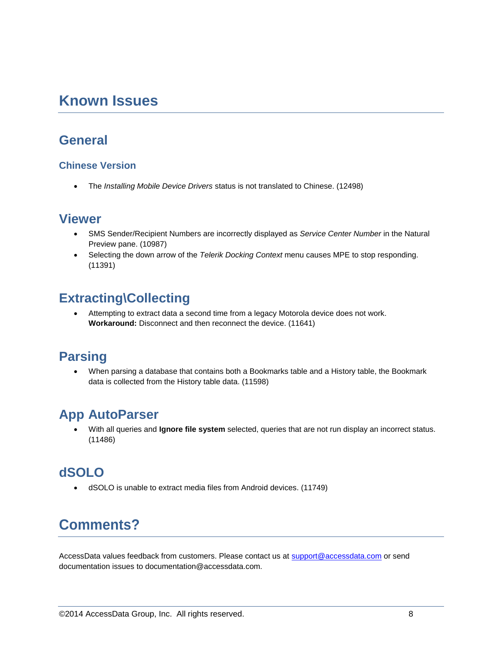## **Known Issues**

#### **General**

#### **Chinese Version**

The *Installing Mobile Device Drivers* status is not translated to Chinese. (12498)

#### **Viewer**

- SMS Sender/Recipient Numbers are incorrectly displayed as *Service Center Number* in the Natural Preview pane. (10987)
- Selecting the down arrow of the *Telerik Docking Context* menu causes MPE to stop responding. (11391)

## **Extracting\Collecting**

 Attempting to extract data a second time from a legacy Motorola device does not work. **Workaround:** Disconnect and then reconnect the device. (11641)

#### **Parsing**

 When parsing a database that contains both a Bookmarks table and a History table, the Bookmark data is collected from the History table data. (11598)

### **App AutoParser**

 With all queries and **Ignore file system** selected, queries that are not run display an incorrect status. (11486)

### **dSOLO**

dSOLO is unable to extract media files from Android devices. (11749)

# **Comments?**

AccessData values feedback from customers. Please contact us at [support@accessdata.com](mailto:support@accessdata.com) or send documentation issues to documentation@accessdata.com.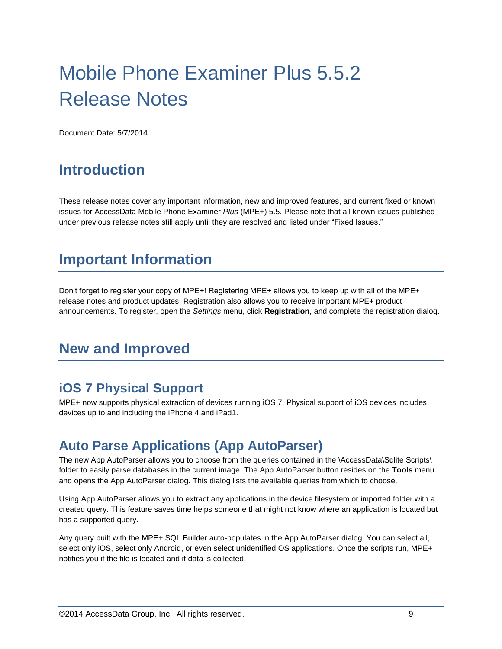# Mobile Phone Examiner Plus 5.5.2 Release Notes

Document Date: 5/7/2014

## **Introduction**

These release notes cover any important information, new and improved features, and current fixed or known issues for AccessData Mobile Phone Examiner *Plus* (MPE+) 5.5. Please note that all known issues published under previous release notes still apply until they are resolved and listed under "Fixed Issues."

# **Important Information**

Don't forget to register your copy of MPE+! Registering MPE+ allows you to keep up with all of the MPE+ release notes and product updates. Registration also allows you to receive important MPE+ product announcements. To register, open the *Settings* menu, click **Registration**, and complete the registration dialog.

# **New and Improved**

#### **iOS 7 Physical Support**

MPE+ now supports physical extraction of devices running iOS 7. Physical support of iOS devices includes devices up to and including the iPhone 4 and iPad1.

#### **Auto Parse Applications (App AutoParser)**

The new App AutoParser allows you to choose from the queries contained in the \AccessData\Sqlite Scripts\ folder to easily parse databases in the current image. The App AutoParser button resides on the **Tools** menu and opens the App AutoParser dialog. This dialog lists the available queries from which to choose.

Using App AutoParser allows you to extract any applications in the device filesystem or imported folder with a created query. This feature saves time helps someone that might not know where an application is located but has a supported query.

Any query built with the MPE+ SQL Builder auto-populates in the App AutoParser dialog. You can select all, select only iOS, select only Android, or even select unidentified OS applications. Once the scripts run, MPE+ notifies you if the file is located and if data is collected.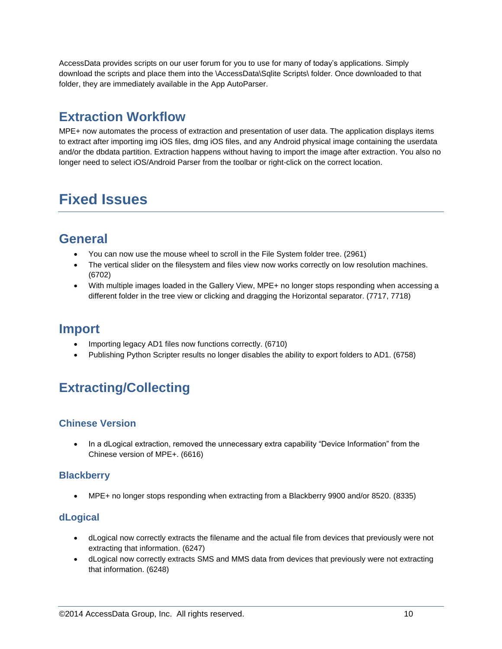AccessData provides scripts on our user forum for you to use for many of today's applications. Simply download the scripts and place them into the \AccessData\Sqlite Scripts\ folder. Once downloaded to that folder, they are immediately available in the App AutoParser.

## **Extraction Workflow**

MPE+ now automates the process of extraction and presentation of user data. The application displays items to extract after importing img iOS files, dmg iOS files, and any Android physical image containing the userdata and/or the dbdata partition. Extraction happens without having to import the image after extraction. You also no longer need to select iOS/Android Parser from the toolbar or right-click on the correct location.

# **Fixed Issues**

### **General**

- You can now use the mouse wheel to scroll in the File System folder tree. (2961)
- The vertical slider on the filesystem and files view now works correctly on low resolution machines. (6702)
- With multiple images loaded in the Gallery View, MPE+ no longer stops responding when accessing a different folder in the tree view or clicking and dragging the Horizontal separator. (7717, 7718)

#### **Import**

- Importing legacy AD1 files now functions correctly. (6710)
- Publishing Python Scripter results no longer disables the ability to export folders to AD1. (6758)

# **Extracting/Collecting**

#### **Chinese Version**

 In a dLogical extraction, removed the unnecessary extra capability "Device Information" from the Chinese version of MPE+. (6616)

#### **Blackberry**

MPE+ no longer stops responding when extracting from a Blackberry 9900 and/or 8520. (8335)

#### **dLogical**

- dLogical now correctly extracts the filename and the actual file from devices that previously were not extracting that information. (6247)
- dLogical now correctly extracts SMS and MMS data from devices that previously were not extracting that information. (6248)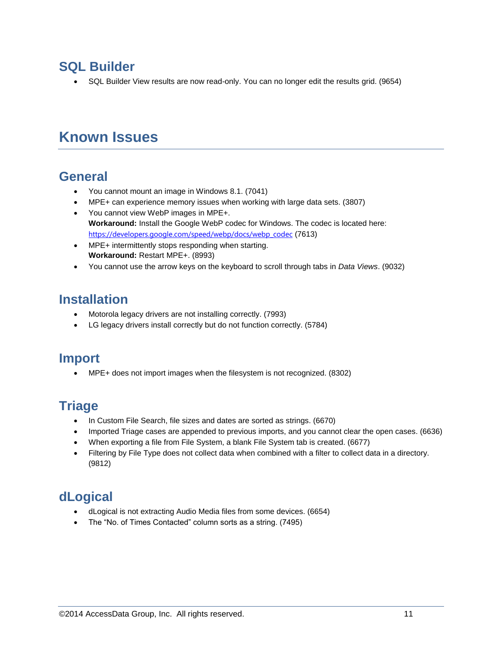#### **SQL Builder**

SQL Builder View results are now read-only. You can no longer edit the results grid. (9654)

# **Known Issues**

#### **General**

- You cannot mount an image in Windows 8.1. (7041)
- MPE+ can experience memory issues when working with large data sets. (3807)
- You cannot view WebP images in MPE+. **Workaround:** Install the Google WebP codec for Windows. The codec is located here: [https://developers.google.com/speed/webp/docs/webp\\_codec](https://developers.google.com/speed/webp/docs/webp_codec) (7613)
- MPE+ intermittently stops responding when starting. **Workaround:** Restart MPE+. (8993)
- You cannot use the arrow keys on the keyboard to scroll through tabs in *Data Views*. (9032)

### **Installation**

- Motorola legacy drivers are not installing correctly. (7993)
- LG legacy drivers install correctly but do not function correctly. (5784)

#### **Import**

MPE+ does not import images when the filesystem is not recognized. (8302)

### **Triage**

- In Custom File Search, file sizes and dates are sorted as strings. (6670)
- Imported Triage cases are appended to previous imports, and you cannot clear the open cases. (6636)
- When exporting a file from File System, a blank File System tab is created. (6677)
- Filtering by File Type does not collect data when combined with a filter to collect data in a directory. (9812)

#### **dLogical**

- dLogical is not extracting Audio Media files from some devices. (6654)
- The "No. of Times Contacted" column sorts as a string. (7495)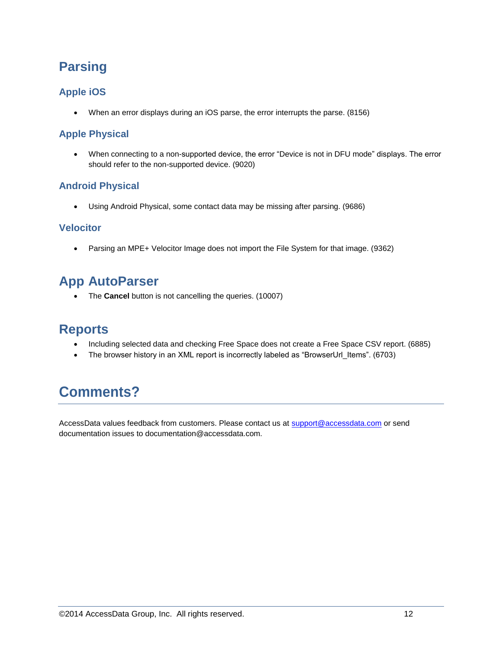## **Parsing**

#### **Apple iOS**

When an error displays during an iOS parse, the error interrupts the parse. (8156)

#### **Apple Physical**

 When connecting to a non-supported device, the error "Device is not in DFU mode" displays. The error should refer to the non-supported device. (9020)

#### **Android Physical**

Using Android Physical, some contact data may be missing after parsing. (9686)

#### **Velocitor**

• Parsing an MPE+ Velocitor Image does not import the File System for that image. (9362)

#### **App AutoParser**

The **Cancel** button is not cancelling the queries. (10007)

#### **Reports**

- Including selected data and checking Free Space does not create a Free Space CSV report. (6885)
- The browser history in an XML report is incorrectly labeled as "BrowserUrl\_Items". (6703)

# **Comments?**

AccessData values feedback from customers. Please contact us at [support@accessdata.com](mailto:support@accessdata.com) or send documentation issues to documentation@accessdata.com.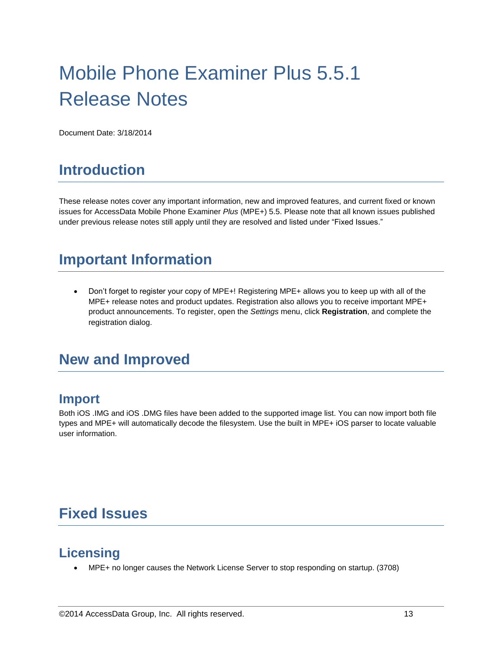# Mobile Phone Examiner Plus 5.5.1 Release Notes

Document Date: 3/18/2014

# **Introduction**

These release notes cover any important information, new and improved features, and current fixed or known issues for AccessData Mobile Phone Examiner *Plus* (MPE+) 5.5. Please note that all known issues published under previous release notes still apply until they are resolved and listed under "Fixed Issues."

# **Important Information**

 Don't forget to register your copy of MPE+! Registering MPE+ allows you to keep up with all of the MPE+ release notes and product updates. Registration also allows you to receive important MPE+ product announcements. To register, open the *Settings* menu, click **Registration**, and complete the registration dialog.

# **New and Improved**

#### **Import**

Both iOS .IMG and iOS .DMG files have been added to the supported image list. You can now import both file types and MPE+ will automatically decode the filesystem. Use the built in MPE+ iOS parser to locate valuable user information.

# **Fixed Issues**

#### **Licensing**

MPE+ no longer causes the Network License Server to stop responding on startup. (3708)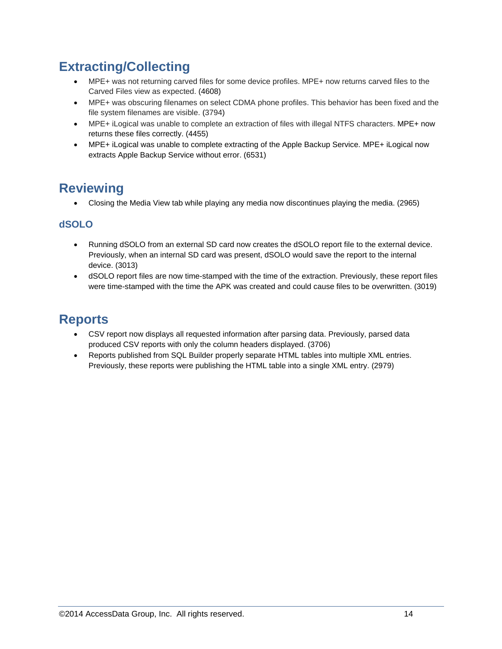## **Extracting/Collecting**

- MPE+ was not returning carved files for some device profiles. MPE+ now returns carved files to the Carved Files view as expected. (4608)
- MPE+ was obscuring filenames on select CDMA phone profiles. This behavior has been fixed and the file system filenames are visible. (3794)
- MPE+ iLogical was unable to complete an extraction of files with illegal NTFS characters. MPE+ now returns these files correctly. (4455)
- MPE+ iLogical was unable to complete extracting of the Apple Backup Service. MPE+ iLogical now extracts Apple Backup Service without error. (6531)

### **Reviewing**

Closing the Media View tab while playing any media now discontinues playing the media. (2965)

#### **dSOLO**

- Running dSOLO from an external SD card now creates the dSOLO report file to the external device. Previously, when an internal SD card was present, dSOLO would save the report to the internal device. (3013)
- dSOLO report files are now time-stamped with the time of the extraction. Previously, these report files were time-stamped with the time the APK was created and could cause files to be overwritten. (3019)

## **Reports**

- CSV report now displays all requested information after parsing data. Previously, parsed data produced CSV reports with only the column headers displayed. (3706)
- Reports published from SQL Builder properly separate HTML tables into multiple XML entries. Previously, these reports were publishing the HTML table into a single XML entry. (2979)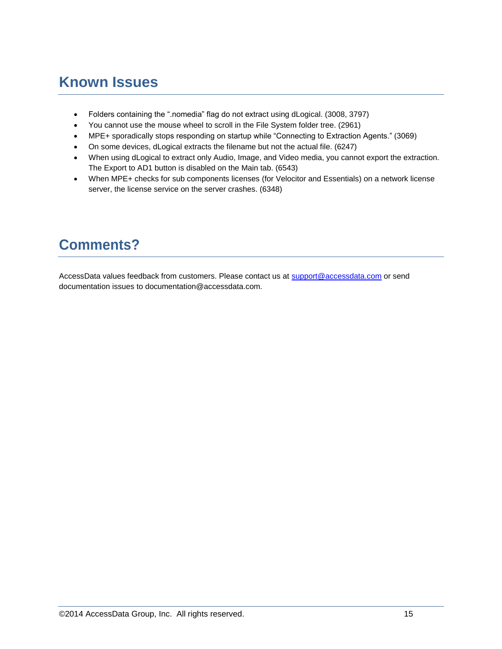# **Known Issues**

- Folders containing the ".nomedia" flag do not extract using dLogical. (3008, 3797)
- You cannot use the mouse wheel to scroll in the File System folder tree. (2961)
- MPE+ sporadically stops responding on startup while "Connecting to Extraction Agents." (3069)
- On some devices, dLogical extracts the filename but not the actual file. (6247)
- When using dLogical to extract only Audio, Image, and Video media, you cannot export the extraction. The Export to AD1 button is disabled on the Main tab. (6543)
- When MPE+ checks for sub components licenses (for Velocitor and Essentials) on a network license server, the license service on the server crashes. (6348)

# **Comments?**

AccessData values feedback from customers. Please contact us at [support@accessdata.com](mailto:support@accessdata.com) or send documentation issues to documentation@accessdata.com.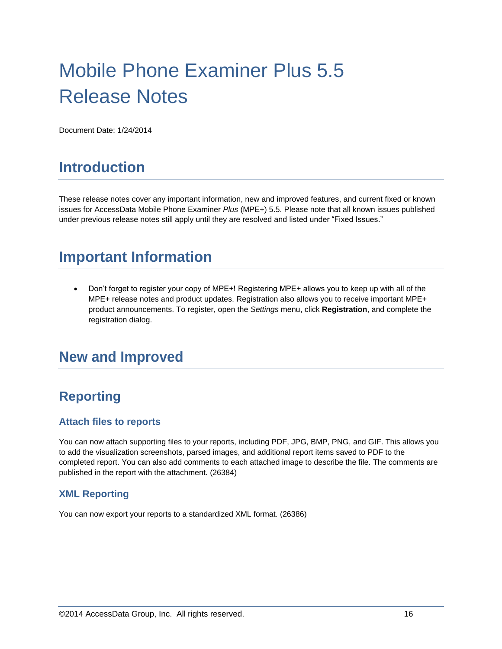# Mobile Phone Examiner Plus 5.5 Release Notes

Document Date: 1/24/2014

# **Introduction**

These release notes cover any important information, new and improved features, and current fixed or known issues for AccessData Mobile Phone Examiner *Plus* (MPE+) 5.5. Please note that all known issues published under previous release notes still apply until they are resolved and listed under "Fixed Issues."

# **Important Information**

 Don't forget to register your copy of MPE+! Registering MPE+ allows you to keep up with all of the MPE+ release notes and product updates. Registration also allows you to receive important MPE+ product announcements. To register, open the *Settings* menu, click **Registration**, and complete the registration dialog.

## **New and Improved**

## **Reporting**

#### **Attach files to reports**

You can now attach supporting files to your reports, including PDF, JPG, BMP, PNG, and GIF. This allows you to add the visualization screenshots, parsed images, and additional report items saved to PDF to the completed report. You can also add comments to each attached image to describe the file. The comments are published in the report with the attachment. (26384)

#### **XML Reporting**

You can now export your reports to a standardized XML format. (26386)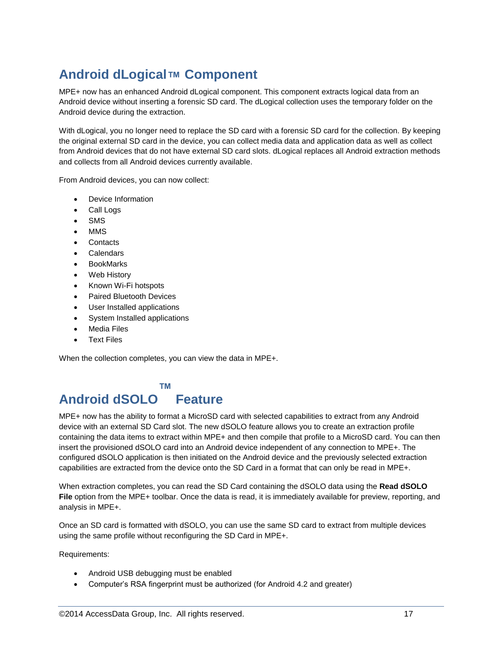# **Android dLogical™ Component**

MPE+ now has an enhanced Android dLogical component. This component extracts logical data from an Android device without inserting a forensic SD card. The dLogical collection uses the temporary folder on the Android device during the extraction.

With dLogical, you no longer need to replace the SD card with a forensic SD card for the collection. By keeping the original external SD card in the device, you can collect media data and application data as well as collect from Android devices that do not have external SD card slots. dLogical replaces all Android extraction methods and collects from all Android devices currently available.

From Android devices, you can now collect:

- Device Information
- Call Logs
- SMS
- MMS
- **Contacts**
- Calendars
- **BookMarks**
- Web History
- Known Wi-Fi hotspots
- Paired Bluetooth Devices
- User Installed applications
- System Installed applications
- Media Files
- Text Files

When the collection completes, you can view the data in MPE+.

#### **™**

#### **Android dSOLO Feature**

MPE+ now has the ability to format a MicroSD card with selected capabilities to extract from any Android device with an external SD Card slot. The new dSOLO feature allows you to create an extraction profile containing the data items to extract within MPE+ and then compile that profile to a MicroSD card. You can then insert the provisioned dSOLO card into an Android device independent of any connection to MPE+. The configured dSOLO application is then initiated on the Android device and the previously selected extraction capabilities are extracted from the device onto the SD Card in a format that can only be read in MPE+.

When extraction completes, you can read the SD Card containing the dSOLO data using the **Read dSOLO File** option from the MPE+ toolbar. Once the data is read, it is immediately available for preview, reporting, and analysis in MPE+.

Once an SD card is formatted with dSOLO, you can use the same SD card to extract from multiple devices using the same profile without reconfiguring the SD Card in MPE+.

Requirements:

- Android USB debugging must be enabled
- Computer's RSA fingerprint must be authorized (for Android 4.2 and greater)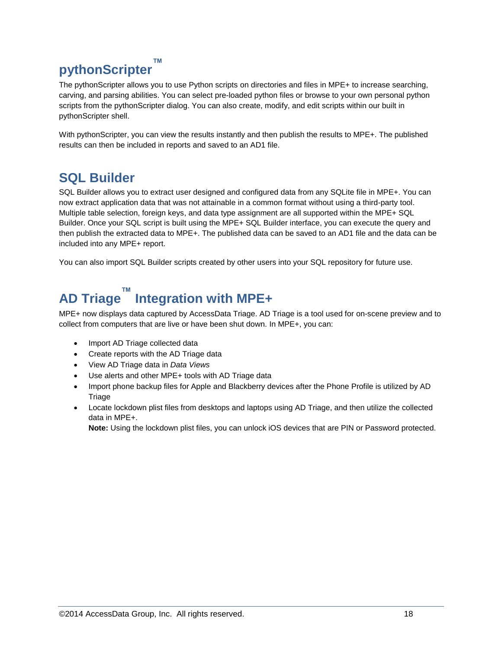#### **pythonScripter ™**

The pythonScripter allows you to use Python scripts on directories and files in MPE+ to increase searching, carving, and parsing abilities. You can select pre-loaded python files or browse to your own personal python scripts from the pythonScripter dialog. You can also create, modify, and edit scripts within our built in pythonScripter shell.

With pythonScripter, you can view the results instantly and then publish the results to MPE+. The published results can then be included in reports and saved to an AD1 file.

## **SQL Builder**

SQL Builder allows you to extract user designed and configured data from any SQLite file in MPE+. You can now extract application data that was not attainable in a common format without using a third-party tool. Multiple table selection, foreign keys, and data type assignment are all supported within the MPE+ SQL Builder. Once your SQL script is built using the MPE+ SQL Builder interface, you can execute the query and then publish the extracted data to MPE+. The published data can be saved to an AD1 file and the data can be included into any MPE+ report.

You can also import SQL Builder scripts created by other users into your SQL repository for future use.

# **AD Triage ™ Integration with MPE+**

MPE+ now displays data captured by AccessData Triage. AD Triage is a tool used for on-scene preview and to collect from computers that are live or have been shut down. In MPE+, you can:

- Import AD Triage collected data
- Create reports with the AD Triage data
- View AD Triage data in *Data Views*
- Use alerts and other MPE+ tools with AD Triage data
- Import phone backup files for Apple and Blackberry devices after the Phone Profile is utilized by AD **Triage**
- Locate lockdown plist files from desktops and laptops using AD Triage, and then utilize the collected data in MPE+.

**Note:** Using the lockdown plist files, you can unlock iOS devices that are PIN or Password protected.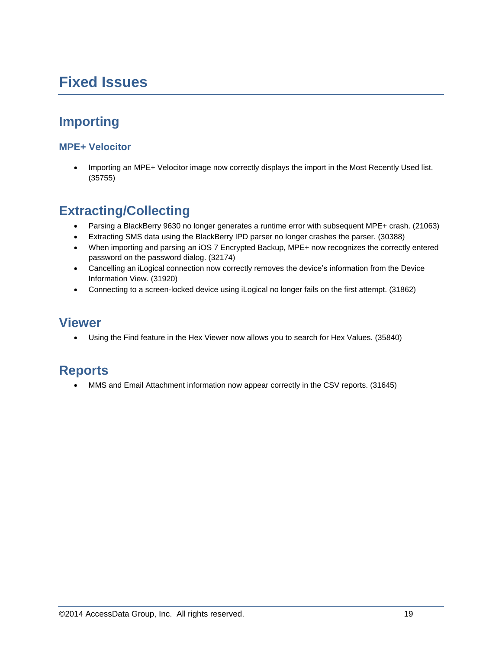# **Fixed Issues**

# **Importing**

#### **MPE+ Velocitor**

 Importing an MPE+ Velocitor image now correctly displays the import in the Most Recently Used list. (35755)

#### **Extracting/Collecting**

- Parsing a BlackBerry 9630 no longer generates a runtime error with subsequent MPE+ crash. (21063)
- Extracting SMS data using the BlackBerry IPD parser no longer crashes the parser. (30388)
- When importing and parsing an iOS 7 Encrypted Backup, MPE+ now recognizes the correctly entered password on the password dialog. (32174)
- Cancelling an iLogical connection now correctly removes the device's information from the Device Information View. (31920)
- Connecting to a screen-locked device using iLogical no longer fails on the first attempt. (31862)

#### **Viewer**

Using the Find feature in the Hex Viewer now allows you to search for Hex Values. (35840)

#### **Reports**

MMS and Email Attachment information now appear correctly in the CSV reports. (31645)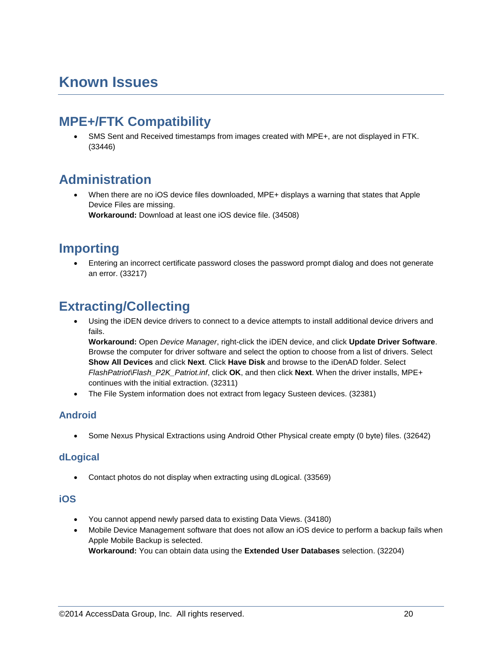# **Known Issues**

### **MPE+/FTK Compatibility**

 SMS Sent and Received timestamps from images created with MPE+, are not displayed in FTK. (33446)

## **Administration**

 When there are no iOS device files downloaded, MPE+ displays a warning that states that Apple Device Files are missing. **Workaround:** Download at least one iOS device file. (34508)

#### **Importing**

 Entering an incorrect certificate password closes the password prompt dialog and does not generate an error. (33217)

## **Extracting/Collecting**

 Using the iDEN device drivers to connect to a device attempts to install additional device drivers and fails.

**Workaround:** Open *Device Manager*, right-click the iDEN device, and click **Update Driver Software**. Browse the computer for driver software and select the option to choose from a list of drivers. Select **Show All Devices** and click **Next**. Click **Have Disk** and browse to the iDenAD folder. Select *FlashPatriot\Flash\_P2K\_Patriot.inf*, click **OK**, and then click **Next**. When the driver installs, MPE+ continues with the initial extraction. (32311)

The File System information does not extract from legacy Susteen devices. (32381)

#### **Android**

Some Nexus Physical Extractions using Android Other Physical create empty (0 byte) files. (32642)

#### **dLogical**

Contact photos do not display when extracting using dLogical. (33569)

#### **iOS**

- You cannot append newly parsed data to existing Data Views. (34180)
- Mobile Device Management software that does not allow an iOS device to perform a backup fails when Apple Mobile Backup is selected.

**Workaround:** You can obtain data using the **Extended User Databases** selection. (32204)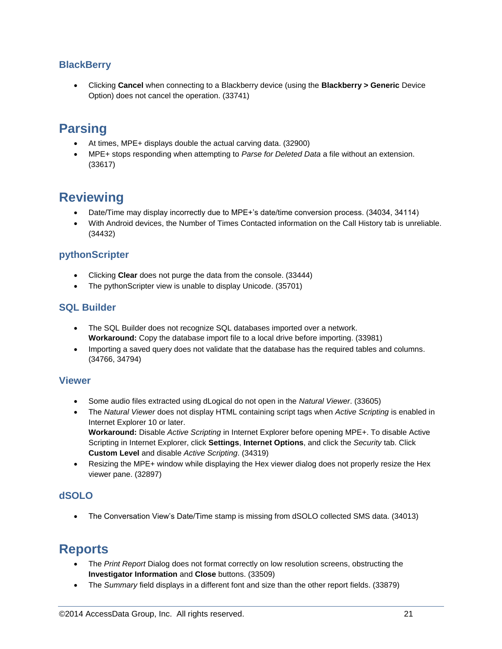#### **BlackBerry**

 Clicking **Cancel** when connecting to a Blackberry device (using the **Blackberry > Generic** Device Option) does not cancel the operation. (33741)

#### **Parsing**

- At times, MPE+ displays double the actual carving data. (32900)
- MPE+ stops responding when attempting to *Parse for Deleted Data* a file without an extension. (33617)

### **Reviewing**

- Date/Time may display incorrectly due to MPE+'s date/time conversion process. (34034, 34114)
- With Android devices, the Number of Times Contacted information on the Call History tab is unreliable. (34432)

#### **pythonScripter**

- Clicking **Clear** does not purge the data from the console. (33444)
- The pythonScripter view is unable to display Unicode. (35701)

#### **SQL Builder**

- The SQL Builder does not recognize SQL databases imported over a network. **Workaround:** Copy the database import file to a local drive before importing. (33981)
- Importing a saved query does not validate that the database has the required tables and columns. (34766, 34794)

#### **Viewer**

- Some audio files extracted using dLogical do not open in the *Natural Viewer*. (33605)
- The *Natural Viewer* does not display HTML containing script tags when *Active Scripting* is enabled in Internet Explorer 10 or later. **Workaround:** Disable *Active Scripting* in Internet Explorer before opening MPE+. To disable Active Scripting in Internet Explorer, click **Settings**, **Internet Options**, and click the *Security* tab. Click **Custom Level** and disable *Active Scripting*. (34319)
- Resizing the MPE+ window while displaying the Hex viewer dialog does not properly resize the Hex viewer pane. (32897)

#### **dSOLO**

The Conversation View's Date/Time stamp is missing from dSOLO collected SMS data. (34013)

#### **Reports**

- The *Print Report* Dialog does not format correctly on low resolution screens, obstructing the **Investigator Information** and **Close** buttons. (33509)
- The *Summary* field displays in a different font and size than the other report fields. (33879)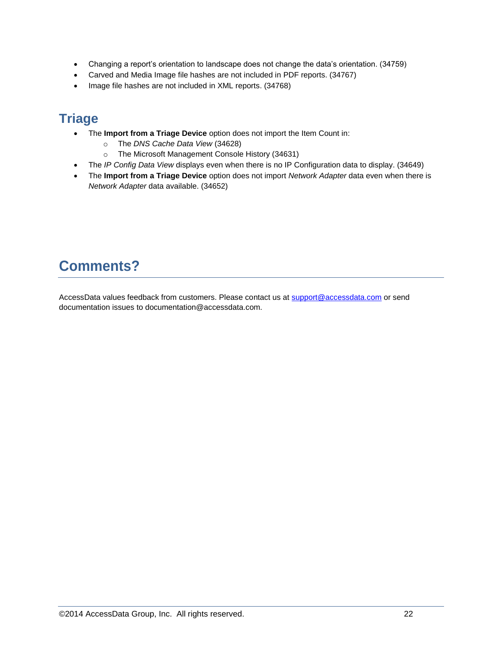- Changing a report's orientation to landscape does not change the data's orientation. (34759)
- Carved and Media Image file hashes are not included in PDF reports. (34767)
- Image file hashes are not included in XML reports. (34768)

## **Triage**

- The **Import from a Triage Device** option does not import the Item Count in:
	- o The *DNS Cache Data View* (34628)
	- o The Microsoft Management Console History (34631)
- The *IP Config Data View* displays even when there is no IP Configuration data to display. (34649)
- The **Import from a Triage Device** option does not import *Network Adapter* data even when there is *Network Adapter* data available. (34652)

# **Comments?**

AccessData values feedback from customers. Please contact us a[t support@accessdata.com](mailto:support@accessdata.com) or send documentation issues to documentation@accessdata.com.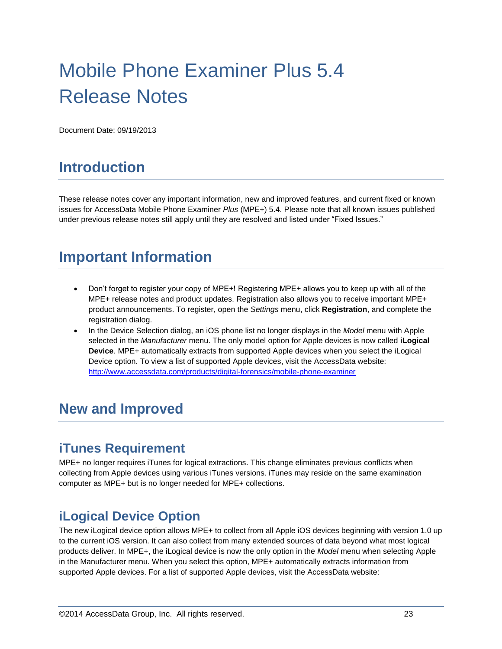# Mobile Phone Examiner Plus 5.4 Release Notes

Document Date: 09/19/2013

# **Introduction**

These release notes cover any important information, new and improved features, and current fixed or known issues for AccessData Mobile Phone Examiner *Plus* (MPE+) 5.4. Please note that all known issues published under previous release notes still apply until they are resolved and listed under "Fixed Issues."

# **Important Information**

- Don't forget to register your copy of MPE+! Registering MPE+ allows you to keep up with all of the MPE+ release notes and product updates. Registration also allows you to receive important MPE+ product announcements. To register, open the *Settings* menu, click **Registration**, and complete the registration dialog.
- In the Device Selection dialog, an iOS phone list no longer displays in the *Model* menu with Apple selected in the *Manufacturer* menu. The only model option for Apple devices is now called **iLogical Device**. MPE+ automatically extracts from supported Apple devices when you select the iLogical Device option. To view a list of supported Apple devices, visit the AccessData website: <http://www.accessdata.com/products/digital-forensics/mobile-phone-examiner>

# **New and Improved**

### **iTunes Requirement**

MPE+ no longer requires iTunes for logical extractions. This change eliminates previous conflicts when collecting from Apple devices using various iTunes versions. iTunes may reside on the same examination computer as MPE+ but is no longer needed for MPE+ collections.

### **iLogical Device Option**

The new iLogical device option allows MPE+ to collect from all Apple iOS devices beginning with version 1.0 up to the current iOS version. It can also collect from many extended sources of data beyond what most logical products deliver. In MPE+, the iLogical device is now the only option in the *Model* menu when selecting Apple in the Manufacturer menu. When you select this option, MPE+ automatically extracts information from supported Apple devices. For a list of supported Apple devices, visit the AccessData website: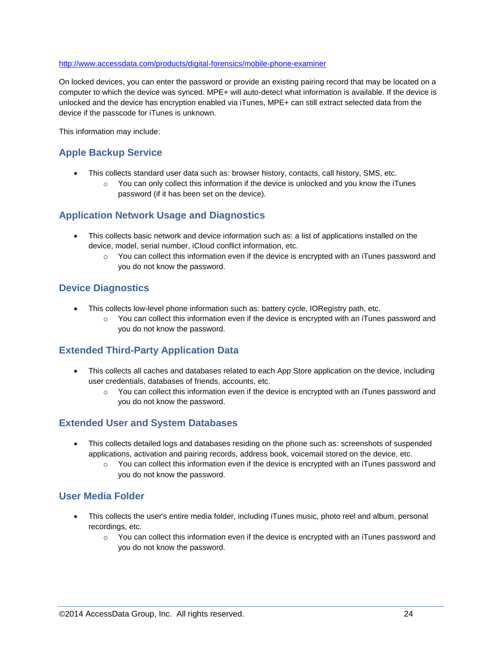#### <http://www.accessdata.com/products/digital-forensics/mobile-phone-examiner>

On locked devices, you can enter the password or provide an existing pairing record that may be located on a computer to which the device was synced. MPE+ will auto-detect what information is available. If the device is unlocked and the device has encryption enabled via iTunes, MPE+ can still extract selected data from the device if the passcode for iTunes is unknown.

This information may include:

#### **Apple Backup Service**

- This collects standard user data such as: browser history, contacts, call history, SMS, etc.
	- $\circ$  You can only collect this information if the device is unlocked and you know the iTunes password (if it has been set on the device).

#### **Application Network Usage and Diagnostics**

- This collects basic network and device information such as: a list of applications installed on the device, model, serial number, iCloud conflict information, etc.
	- $\circ$  You can collect this information even if the device is encrypted with an iTunes password and you do not know the password.

#### **Device Diagnostics**

- This collects low-level phone information such as: battery cycle, IORegistry path, etc.
	- $\circ$  You can collect this information even if the device is encrypted with an iTunes password and you do not know the password.

#### **Extended Third-Party Application Data**

- This collects all caches and databases related to each App Store application on the device, including user credentials, databases of friends, accounts, etc.
	- $\circ$  You can collect this information even if the device is encrypted with an iTunes password and you do not know the password.

#### **Extended User and System Databases**

- This collects detailed logs and databases residing on the phone such as: screenshots of suspended applications, activation and pairing records, address book, voicemail stored on the device, etc.
	- $\circ$  You can collect this information even if the device is encrypted with an iTunes password and you do not know the password.

#### **User Media Folder**

- This collects the user's entire media folder, including iTunes music, photo reel and album, personal recordings, etc.
	- $\circ$  You can collect this information even if the device is encrypted with an iTunes password and you do not know the password.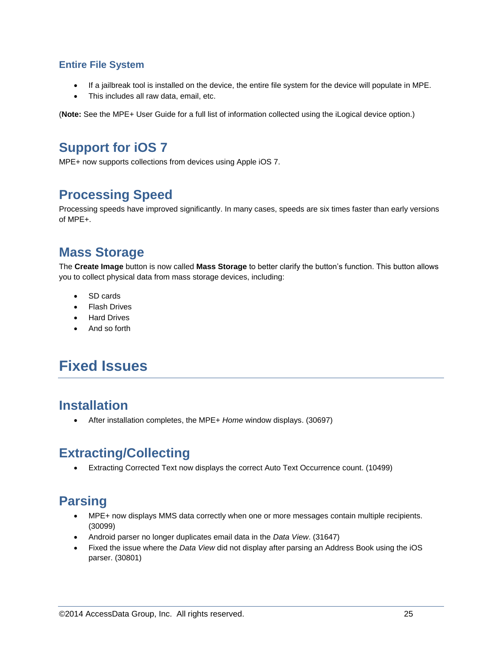#### **Entire File System**

- If a jailbreak tool is installed on the device, the entire file system for the device will populate in MPE.
- This includes all raw data, email, etc.

(**Note:** See the MPE+ User Guide for a full list of information collected using the iLogical device option.)

#### **Support for iOS 7**

MPE+ now supports collections from devices using Apple iOS 7.

#### **Processing Speed**

Processing speeds have improved significantly. In many cases, speeds are six times faster than early versions of MPE+.

#### **Mass Storage**

The **Create Image** button is now called **Mass Storage** to better clarify the button's function. This button allows you to collect physical data from mass storage devices, including:

- SD cards
- Flash Drives
- Hard Drives
- And so forth

# **Fixed Issues**

### **Installation**

After installation completes, the MPE+ *Home* window displays. (30697)

#### **Extracting/Collecting**

Extracting Corrected Text now displays the correct Auto Text Occurrence count. (10499)

# **Parsing**

- MPE+ now displays MMS data correctly when one or more messages contain multiple recipients. (30099)
- Android parser no longer duplicates email data in the *Data View*. (31647)
- Fixed the issue where the *Data View* did not display after parsing an Address Book using the iOS parser. (30801)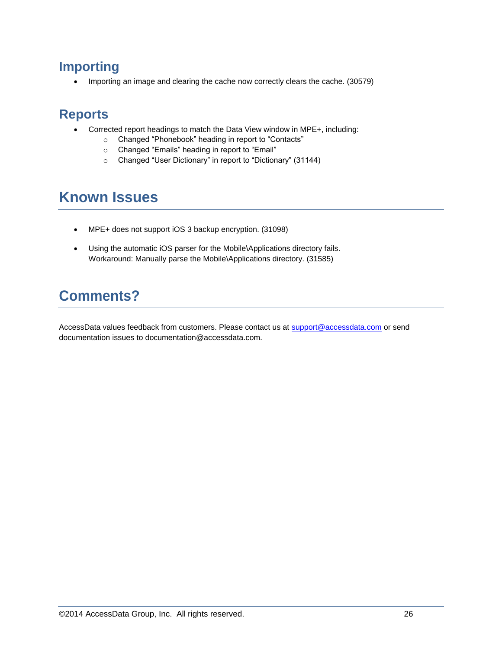### **Importing**

• Importing an image and clearing the cache now correctly clears the cache. (30579)

#### **Reports**

- Corrected report headings to match the Data View window in MPE+, including:
	- o Changed "Phonebook" heading in report to "Contacts"
	- o Changed "Emails" heading in report to "Email"
	- o Changed "User Dictionary" in report to "Dictionary" (31144)

# **Known Issues**

- MPE+ does not support iOS 3 backup encryption. (31098)
- Using the automatic iOS parser for the Mobile\Applications directory fails. Workaround: Manually parse the Mobile\Applications directory. (31585)

# **Comments?**

AccessData values feedback from customers. Please contact us at [support@accessdata.com](mailto:support@accessdata.com) or send documentation issues to documentation@accessdata.com.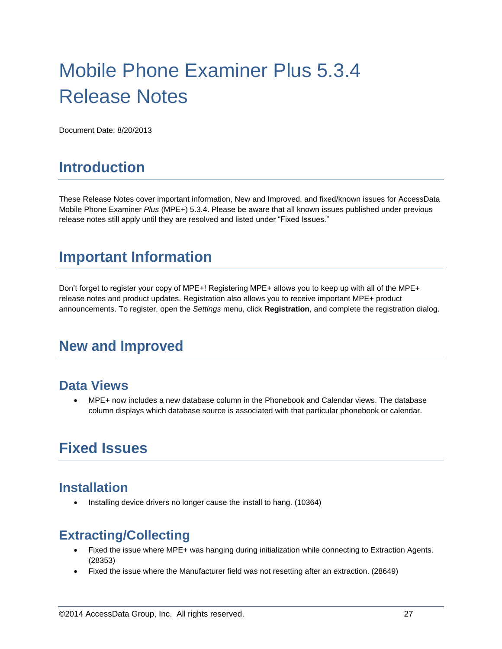# Mobile Phone Examiner Plus 5.3.4 Release Notes

Document Date: 8/20/2013

# **Introduction**

These Release Notes cover important information, New and Improved, and fixed/known issues for AccessData Mobile Phone Examiner *Plus* (MPE+) 5.3.4. Please be aware that all known issues published under previous release notes still apply until they are resolved and listed under "Fixed Issues."

# **Important Information**

Don't forget to register your copy of MPE+! Registering MPE+ allows you to keep up with all of the MPE+ release notes and product updates. Registration also allows you to receive important MPE+ product announcements. To register, open the *Settings* menu, click **Registration**, and complete the registration dialog.

# **New and Improved**

#### **Data Views**

 MPE+ now includes a new database column in the Phonebook and Calendar views. The database column displays which database source is associated with that particular phonebook or calendar.

# **Fixed Issues**

#### **Installation**

Installing device drivers no longer cause the install to hang. (10364)

### **Extracting/Collecting**

- Fixed the issue where MPE+ was hanging during initialization while connecting to Extraction Agents. (28353)
- Fixed the issue where the Manufacturer field was not resetting after an extraction. (28649)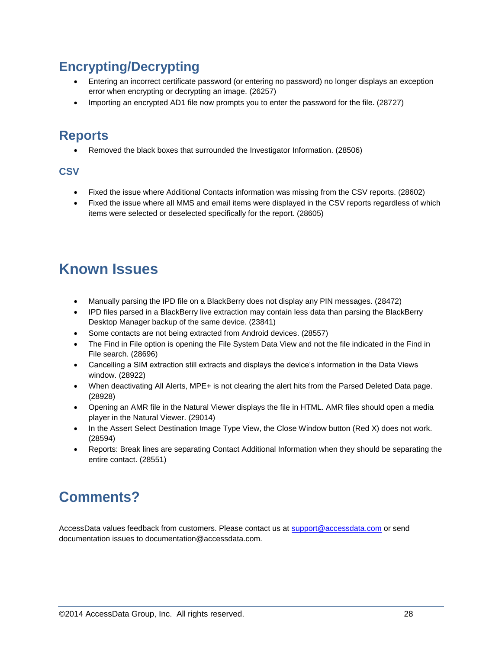## **Encrypting/Decrypting**

- Entering an incorrect certificate password (or entering no password) no longer displays an exception error when encrypting or decrypting an image. (26257)
- Importing an encrypted AD1 file now prompts you to enter the password for the file. (28727)

### **Reports**

Removed the black boxes that surrounded the Investigator Information. (28506)

#### **CSV**

- Fixed the issue where Additional Contacts information was missing from the CSV reports. (28602)
- Fixed the issue where all MMS and email items were displayed in the CSV reports regardless of which items were selected or deselected specifically for the report. (28605)

# **Known Issues**

- Manually parsing the IPD file on a BlackBerry does not display any PIN messages. (28472)
- IPD files parsed in a BlackBerry live extraction may contain less data than parsing the BlackBerry Desktop Manager backup of the same device. (23841)
- Some contacts are not being extracted from Android devices. (28557)
- The Find in File option is opening the File System Data View and not the file indicated in the Find in File search. (28696)
- Cancelling a SIM extraction still extracts and displays the device's information in the Data Views window. (28922)
- When deactivating All Alerts, MPE+ is not clearing the alert hits from the Parsed Deleted Data page. (28928)
- Opening an AMR file in the Natural Viewer displays the file in HTML. AMR files should open a media player in the Natural Viewer. (29014)
- In the Assert Select Destination Image Type View, the Close Window button (Red X) does not work. (28594)
- Reports: Break lines are separating Contact Additional Information when they should be separating the entire contact. (28551)

# **Comments?**

AccessData values feedback from customers. Please contact us at [support@accessdata.com](mailto:support@accessdata.com) or send documentation issues to documentation@accessdata.com.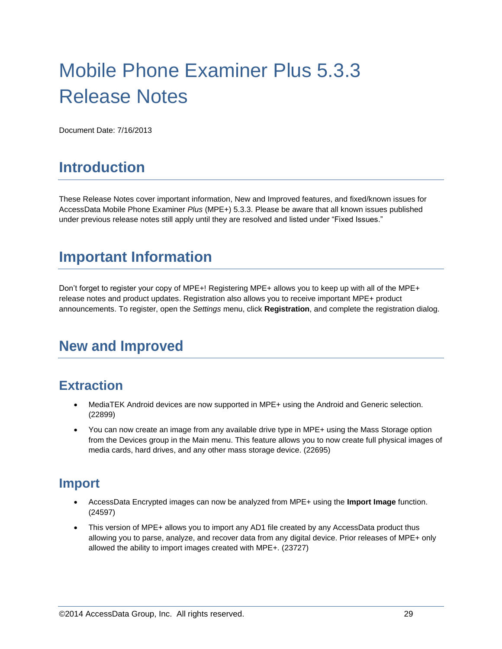# Mobile Phone Examiner Plus 5.3.3 Release Notes

Document Date: 7/16/2013

# **Introduction**

These Release Notes cover important information, New and Improved features, and fixed/known issues for AccessData Mobile Phone Examiner *Plus* (MPE+) 5.3.3. Please be aware that all known issues published under previous release notes still apply until they are resolved and listed under "Fixed Issues."

# **Important Information**

Don't forget to register your copy of MPE+! Registering MPE+ allows you to keep up with all of the MPE+ release notes and product updates. Registration also allows you to receive important MPE+ product announcements. To register, open the *Settings* menu, click **Registration**, and complete the registration dialog.

# **New and Improved**

### **Extraction**

- MediaTEK Android devices are now supported in MPE+ using the Android and Generic selection. (22899)
- You can now create an image from any available drive type in MPE+ using the Mass Storage option from the Devices group in the Main menu. This feature allows you to now create full physical images of media cards, hard drives, and any other mass storage device. (22695)

#### **Import**

- AccessData Encrypted images can now be analyzed from MPE+ using the **Import Image** function. (24597)
- This version of MPE+ allows you to import any AD1 file created by any AccessData product thus allowing you to parse, analyze, and recover data from any digital device. Prior releases of MPE+ only allowed the ability to import images created with MPE+. (23727)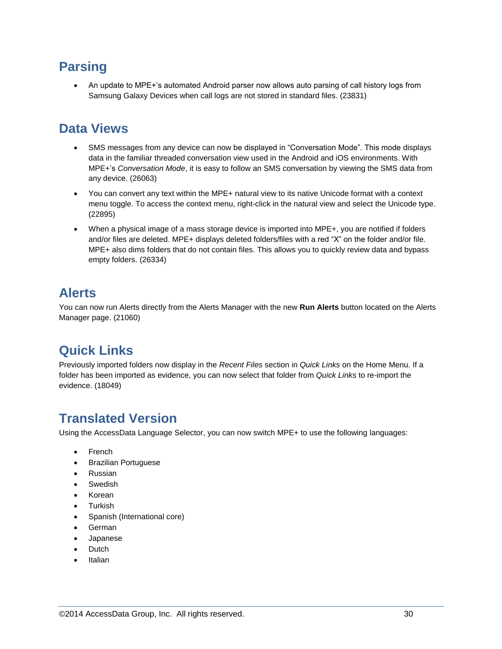## **Parsing**

 An update to MPE+'s automated Android parser now allows auto parsing of call history logs from Samsung Galaxy Devices when call logs are not stored in standard files. (23831)

### **Data Views**

- SMS messages from any device can now be displayed in "Conversation Mode". This mode displays data in the familiar threaded conversation view used in the Android and iOS environments. With MPE+'s *Conversation Mode*, it is easy to follow an SMS conversation by viewing the SMS data from any device. (26063)
- You can convert any text within the MPE+ natural view to its native Unicode format with a context menu toggle. To access the context menu, right-click in the natural view and select the Unicode type. (22895)
- When a physical image of a mass storage device is imported into MPE+, you are notified if folders and/or files are deleted. MPE+ displays deleted folders/files with a red "X" on the folder and/or file. MPE+ also dims folders that do not contain files. This allows you to quickly review data and bypass empty folders. (26334)

## **Alerts**

You can now run Alerts directly from the Alerts Manager with the new **Run Alerts** button located on the Alerts Manager page. (21060)

## **Quick Links**

Previously imported folders now display in the *Recent Files* section in *Quick Links* on the Home Menu. If a folder has been imported as evidence, you can now select that folder from *Quick Links* to re-import the evidence. (18049)

## **Translated Version**

Using the AccessData Language Selector, you can now switch MPE+ to use the following languages:

- French
- Brazilian Portuguese
- Russian
- Swedish
- Korean
- Turkish
- Spanish (International core)
- German
- Japanese
- Dutch
- Italian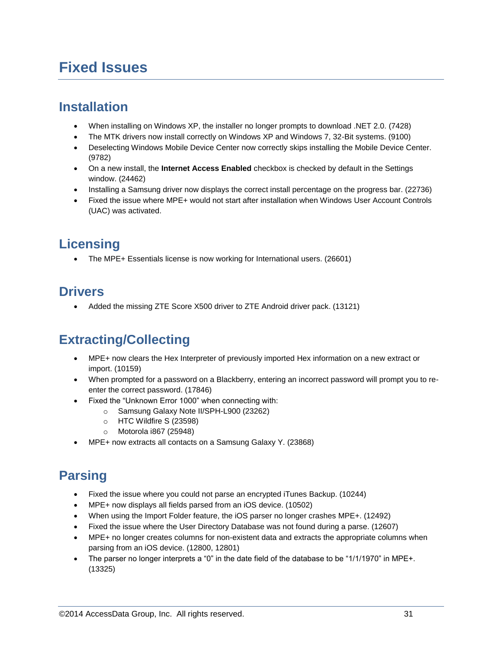# **Fixed Issues**

### **Installation**

- When installing on Windows XP, the installer no longer prompts to download .NET 2.0. (7428)
- The MTK drivers now install correctly on Windows XP and Windows 7, 32-Bit systems. (9100)
- Deselecting Windows Mobile Device Center now correctly skips installing the Mobile Device Center. (9782)
- On a new install, the **Internet Access Enabled** checkbox is checked by default in the Settings window. (24462)
- Installing a Samsung driver now displays the correct install percentage on the progress bar. (22736)
- Fixed the issue where MPE+ would not start after installation when Windows User Account Controls (UAC) was activated.

# **Licensing**

• The MPE+ Essentials license is now working for International users. (26601)

## **Drivers**

• Added the missing ZTE Score X500 driver to ZTE Android driver pack. (13121)

## **Extracting/Collecting**

- MPE+ now clears the Hex Interpreter of previously imported Hex information on a new extract or import. (10159)
- When prompted for a password on a Blackberry, entering an incorrect password will prompt you to reenter the correct password. (17846)
- Fixed the "Unknown Error 1000" when connecting with:
	- o Samsung Galaxy Note II/SPH-L900 (23262)
	- o HTC Wildfire S (23598)
	- o Motorola i867 (25948)
- MPE+ now extracts all contacts on a Samsung Galaxy Y. (23868)

# **Parsing**

- Fixed the issue where you could not parse an encrypted iTunes Backup. (10244)
- MPE+ now displays all fields parsed from an iOS device. (10502)
- When using the Import Folder feature, the iOS parser no longer crashes MPE+. (12492)
- Fixed the issue where the User Directory Database was not found during a parse. (12607)
- MPE+ no longer creates columns for non-existent data and extracts the appropriate columns when parsing from an iOS device. (12800, 12801)
- The parser no longer interprets a "0" in the date field of the database to be "1/1/1970" in MPE+. (13325)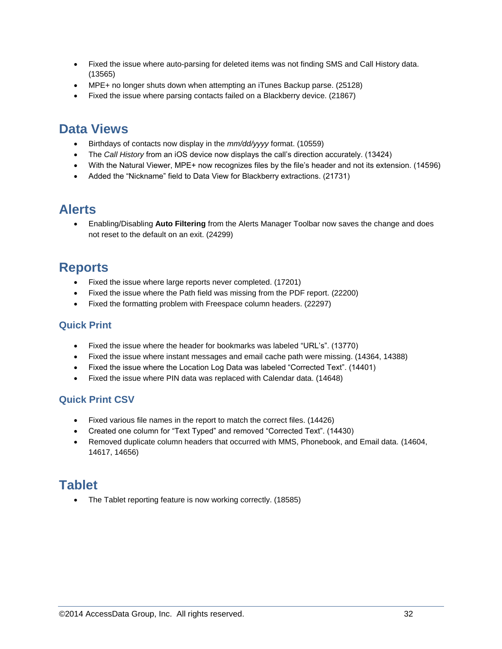- Fixed the issue where auto-parsing for deleted items was not finding SMS and Call History data. (13565)
- MPE+ no longer shuts down when attempting an iTunes Backup parse. (25128)
- Fixed the issue where parsing contacts failed on a Blackberry device. (21867)

#### **Data Views**

- Birthdays of contacts now display in the *mm/dd/yyyy* format. (10559)
- The *Call History* from an iOS device now displays the call's direction accurately. (13424)
- With the Natural Viewer, MPE+ now recognizes files by the file's header and not its extension. (14596)
- Added the "Nickname" field to Data View for Blackberry extractions. (21731)

#### **Alerts**

 Enabling/Disabling **Auto Filtering** from the Alerts Manager Toolbar now saves the change and does not reset to the default on an exit. (24299)

#### **Reports**

- Fixed the issue where large reports never completed. (17201)
- Fixed the issue where the Path field was missing from the PDF report. (22200)
- Fixed the formatting problem with Freespace column headers. (22297)

#### **Quick Print**

- Fixed the issue where the header for bookmarks was labeled "URL's". (13770)
- Fixed the issue where instant messages and email cache path were missing. (14364, 14388)
- Fixed the issue where the Location Log Data was labeled "Corrected Text". (14401)
- Fixed the issue where PIN data was replaced with Calendar data. (14648)

#### **Quick Print CSV**

- Fixed various file names in the report to match the correct files. (14426)
- Created one column for "Text Typed" and removed "Corrected Text". (14430)
- Removed duplicate column headers that occurred with MMS, Phonebook, and Email data. (14604, 14617, 14656)

#### **Tablet**

• The Tablet reporting feature is now working correctly. (18585)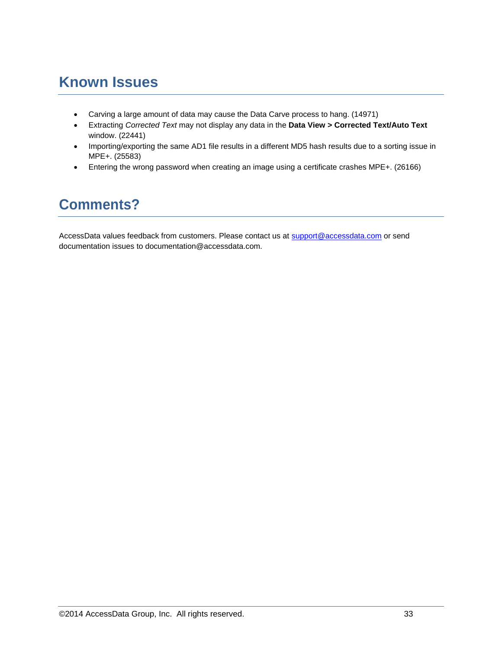# **Known Issues**

- Carving a large amount of data may cause the Data Carve process to hang. (14971)
- Extracting *Corrected Text* may not display any data in the **Data View > Corrected Text/Auto Text** window. (22441)
- Importing/exporting the same AD1 file results in a different MD5 hash results due to a sorting issue in MPE+. (25583)
- Entering the wrong password when creating an image using a certificate crashes MPE+. (26166)

# **Comments?**

AccessData values feedback from customers. Please contact us at [support@accessdata.com](mailto:support@accessdata.com) or send documentation issues to documentation@accessdata.com.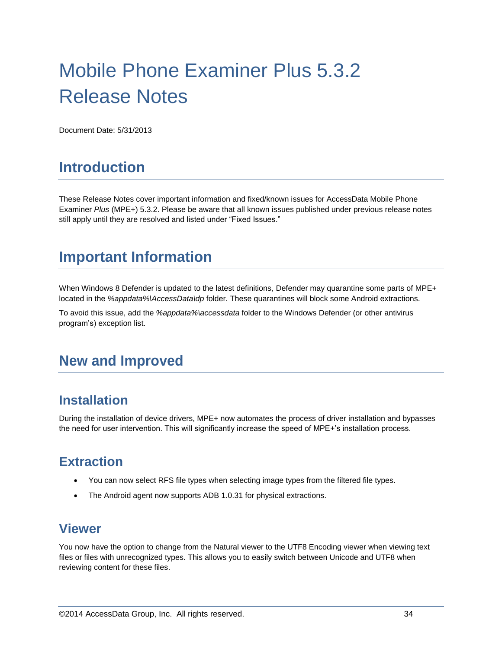# Mobile Phone Examiner Plus 5.3.2 Release Notes

Document Date: 5/31/2013

# **Introduction**

These Release Notes cover important information and fixed/known issues for AccessData Mobile Phone Examiner *Plus* (MPE+) 5.3.2. Please be aware that all known issues published under previous release notes still apply until they are resolved and listed under "Fixed Issues."

# **Important Information**

When Windows 8 Defender is updated to the latest definitions, Defender may quarantine some parts of MPE+ located in the *%appdata%\AccessData\dp* folder. These quarantines will block some Android extractions.

To avoid this issue, add the *%appdata%\accessdata* folder to the Windows Defender (or other antivirus program's) exception list.

# **New and Improved**

#### **Installation**

During the installation of device drivers, MPE+ now automates the process of driver installation and bypasses the need for user intervention. This will significantly increase the speed of MPE+'s installation process.

### **Extraction**

- You can now select RFS file types when selecting image types from the filtered file types.
- The Android agent now supports ADB 1.0.31 for physical extractions.

#### **Viewer**

You now have the option to change from the Natural viewer to the UTF8 Encoding viewer when viewing text files or files with unrecognized types. This allows you to easily switch between Unicode and UTF8 when reviewing content for these files.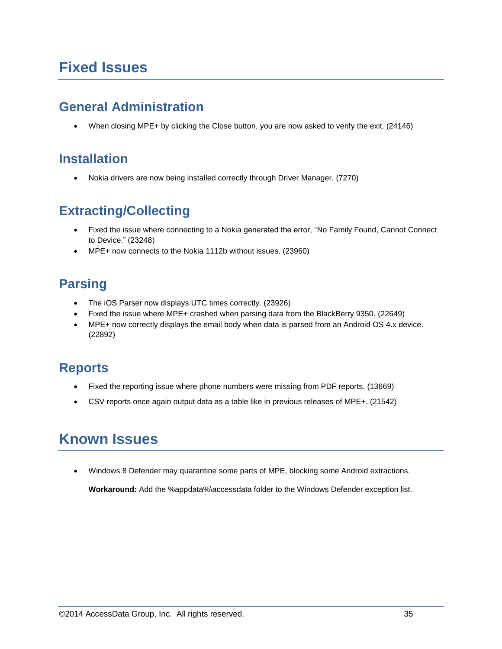# **Fixed Issues**

### **General Administration**

When closing MPE+ by clicking the Close button, you are now asked to verify the exit. (24146)

## **Installation**

Nokia drivers are now being installed correctly through Driver Manager. (7270)

## **Extracting/Collecting**

- Fixed the issue where connecting to a Nokia generated the error, "No Family Found, Cannot Connect to Device." (23248)
- MPE+ now connects to the Nokia 1112b without issues. (23960)

# **Parsing**

- The iOS Parser now displays UTC times correctly. (23926)
- Fixed the issue where MPE+ crashed when parsing data from the BlackBerry 9350. (22649)
- MPE+ now correctly displays the email body when data is parsed from an Android OS 4.x device. (22892)

## **Reports**

- Fixed the reporting issue where phone numbers were missing from PDF reports. (13669)
- CSV reports once again output data as a table like in previous releases of MPE+. (21542)

# **Known Issues**

Windows 8 Defender may quarantine some parts of MPE, blocking some Android extractions.

**Workaround:** Add the %appdata%\accessdata folder to the Windows Defender exception list.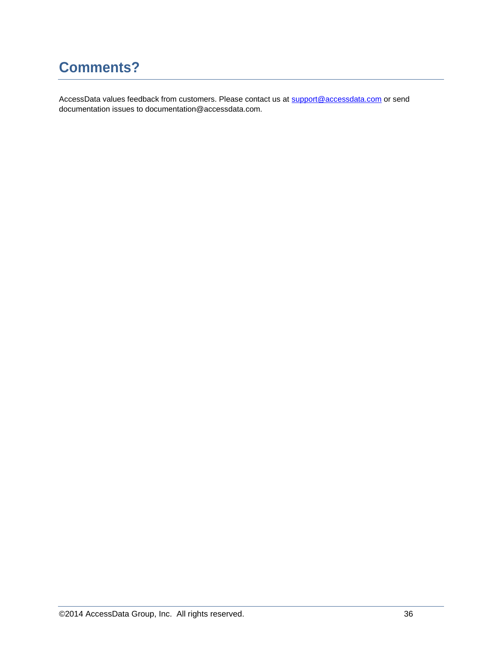# **Comments?**

AccessData values feedback from customers. Please contact us at [support@accessdata.com](mailto:support@accessdata.com) or send documentation issues to documentation@accessdata.com.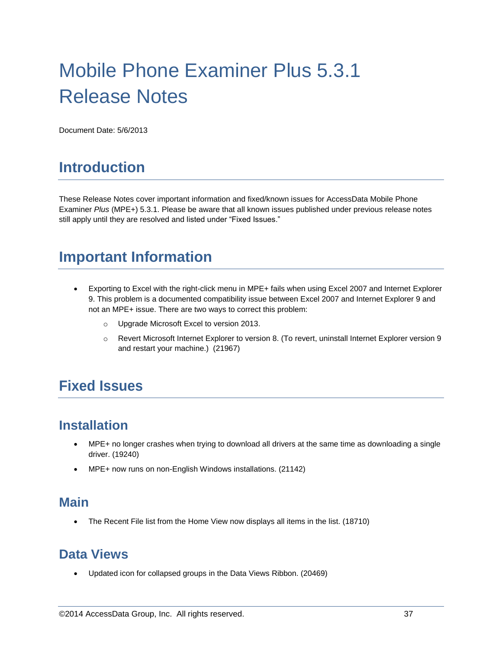# Mobile Phone Examiner Plus 5.3.1 Release Notes

Document Date: 5/6/2013

# **Introduction**

These Release Notes cover important information and fixed/known issues for AccessData Mobile Phone Examiner *Plus* (MPE+) 5.3.1. Please be aware that all known issues published under previous release notes still apply until they are resolved and listed under "Fixed Issues."

# **Important Information**

- Exporting to Excel with the right-click menu in MPE+ fails when using Excel 2007 and Internet Explorer 9. This problem is a documented compatibility issue between Excel 2007 and Internet Explorer 9 and not an MPE+ issue. There are two ways to correct this problem:
	- o Upgrade Microsoft Excel to version 2013.
	- o Revert Microsoft Internet Explorer to version 8. (To revert, uninstall Internet Explorer version 9 and restart your machine.) (21967)

# **Fixed Issues**

#### **Installation**

- MPE+ no longer crashes when trying to download all drivers at the same time as downloading a single driver. (19240)
- MPE+ now runs on non-English Windows installations. (21142)

#### **Main**

The Recent File list from the Home View now displays all items in the list. (18710)

#### **Data Views**

Updated icon for collapsed groups in the Data Views Ribbon. (20469)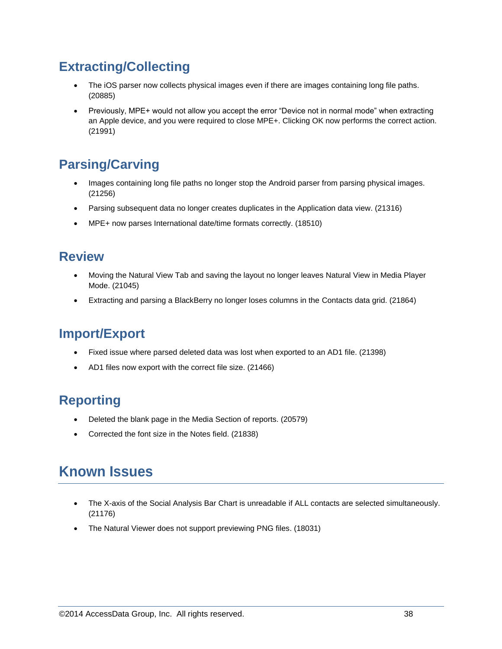## **Extracting/Collecting**

- The iOS parser now collects physical images even if there are images containing long file paths. (20885)
- Previously, MPE+ would not allow you accept the error "Device not in normal mode" when extracting an Apple device, and you were required to close MPE+. Clicking OK now performs the correct action. (21991)

# **Parsing/Carving**

- Images containing long file paths no longer stop the Android parser from parsing physical images. (21256)
- Parsing subsequent data no longer creates duplicates in the Application data view. (21316)
- MPE+ now parses International date/time formats correctly. (18510)

#### **Review**

- Moving the Natural View Tab and saving the layout no longer leaves Natural View in Media Player Mode. (21045)
- Extracting and parsing a BlackBerry no longer loses columns in the Contacts data grid. (21864)

## **Import/Export**

- Fixed issue where parsed deleted data was lost when exported to an AD1 file. (21398)
- AD1 files now export with the correct file size. (21466)

## **Reporting**

- Deleted the blank page in the Media Section of reports. (20579)
- Corrected the font size in the Notes field. (21838)

# **Known Issues**

- The X-axis of the Social Analysis Bar Chart is unreadable if ALL contacts are selected simultaneously. (21176)
- The Natural Viewer does not support previewing PNG files. (18031)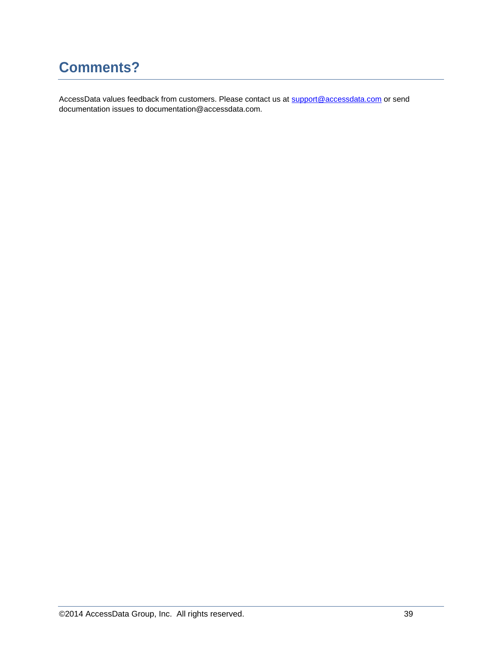# **Comments?**

AccessData values feedback from customers. Please contact us at [support@accessdata.com](mailto:support@accessdata.com) or send documentation issues to documentation@accessdata.com.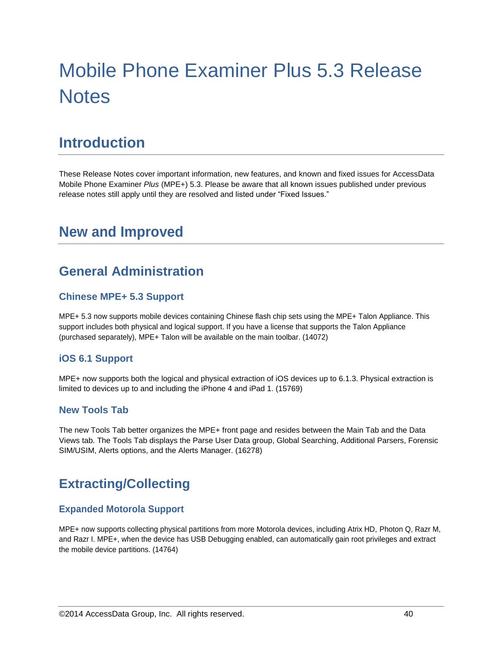# Mobile Phone Examiner Plus 5.3 Release **Notes**

# **Introduction**

These Release Notes cover important information, new features, and known and fixed issues for AccessData Mobile Phone Examiner *Plus* (MPE+) 5.3. Please be aware that all known issues published under previous release notes still apply until they are resolved and listed under "Fixed Issues."

# **New and Improved**

## **General Administration**

#### **Chinese MPE+ 5.3 Support**

MPE+ 5.3 now supports mobile devices containing Chinese flash chip sets using the MPE+ Talon Appliance. This support includes both physical and logical support. If you have a license that supports the Talon Appliance (purchased separately), MPE+ Talon will be available on the main toolbar. (14072)

#### **iOS 6.1 Support**

MPE+ now supports both the logical and physical extraction of iOS devices up to 6.1.3. Physical extraction is limited to devices up to and including the iPhone 4 and iPad 1. (15769)

#### **New Tools Tab**

The new Tools Tab better organizes the MPE+ front page and resides between the Main Tab and the Data Views tab. The Tools Tab displays the Parse User Data group, Global Searching, Additional Parsers, Forensic SIM/USIM, Alerts options, and the Alerts Manager. (16278)

### **Extracting/Collecting**

#### **Expanded Motorola Support**

MPE+ now supports collecting physical partitions from more Motorola devices, including Atrix HD, Photon Q, Razr M, and Razr I. MPE+, when the device has USB Debugging enabled, can automatically gain root privileges and extract the mobile device partitions. (14764)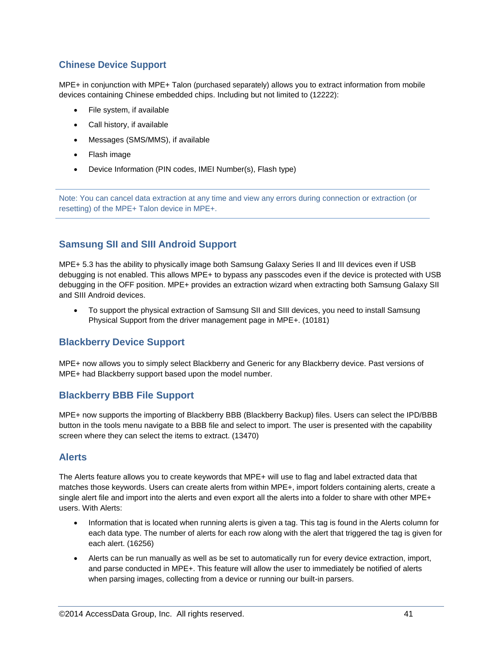#### **Chinese Device Support**

MPE+ in conjunction with MPE+ Talon (purchased separately) allows you to extract information from mobile devices containing Chinese embedded chips. Including but not limited to (12222):

- File system, if available
- Call history, if available
- Messages (SMS/MMS), if available
- Flash image
- Device Information (PIN codes, IMEI Number(s), Flash type)

Note: You can cancel data extraction at any time and view any errors during connection or extraction (or resetting) of the MPE+ Talon device in MPE+.

#### **Samsung SII and SIII Android Support**

MPE+ 5.3 has the ability to physically image both Samsung Galaxy Series II and III devices even if USB debugging is not enabled. This allows MPE+ to bypass any passcodes even if the device is protected with USB debugging in the OFF position. MPE+ provides an extraction wizard when extracting both Samsung Galaxy SII and SIII Android devices.

 To support the physical extraction of Samsung SII and SIII devices, you need to install Samsung Physical Support from the driver management page in MPE+. (10181)

#### **Blackberry Device Support**

MPE+ now allows you to simply select Blackberry and Generic for any Blackberry device. Past versions of MPE+ had Blackberry support based upon the model number.

#### **Blackberry BBB File Support**

MPE+ now supports the importing of Blackberry BBB (Blackberry Backup) files. Users can select the IPD/BBB button in the tools menu navigate to a BBB file and select to import. The user is presented with the capability screen where they can select the items to extract. (13470)

#### **Alerts**

The Alerts feature allows you to create keywords that MPE+ will use to flag and label extracted data that matches those keywords. Users can create alerts from within MPE+, import folders containing alerts, create a single alert file and import into the alerts and even export all the alerts into a folder to share with other MPE+ users. With Alerts:

- Information that is located when running alerts is given a tag. This tag is found in the Alerts column for each data type. The number of alerts for each row along with the alert that triggered the tag is given for each alert. (16256)
- Alerts can be run manually as well as be set to automatically run for every device extraction, import, and parse conducted in MPE+. This feature will allow the user to immediately be notified of alerts when parsing images, collecting from a device or running our built-in parsers.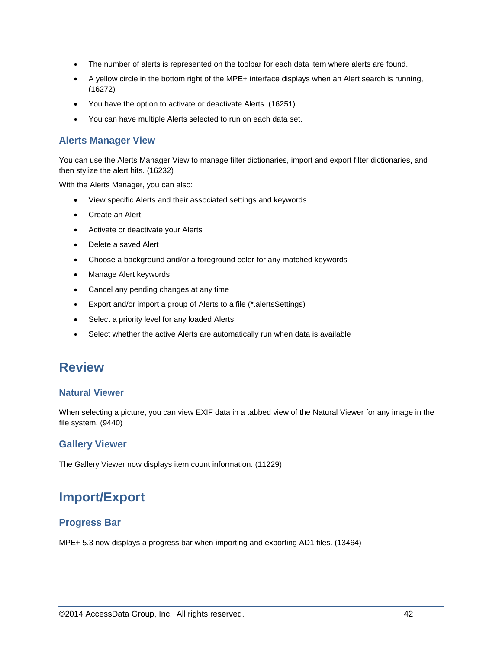- The number of alerts is represented on the toolbar for each data item where alerts are found.
- A yellow circle in the bottom right of the MPE+ interface displays when an Alert search is running, (16272)
- You have the option to activate or deactivate Alerts. (16251)
- You can have multiple Alerts selected to run on each data set.

#### **Alerts Manager View**

You can use the Alerts Manager View to manage filter dictionaries, import and export filter dictionaries, and then stylize the alert hits. (16232)

With the Alerts Manager, you can also:

- View specific Alerts and their associated settings and keywords
- Create an Alert
- Activate or deactivate your Alerts
- Delete a saved Alert
- Choose a background and/or a foreground color for any matched keywords
- Manage Alert keywords
- Cancel any pending changes at any time
- Export and/or import a group of Alerts to a file (\*.alertsSettings)
- Select a priority level for any loaded Alerts
- Select whether the active Alerts are automatically run when data is available

#### **Review**

#### **Natural Viewer**

When selecting a picture, you can view EXIF data in a tabbed view of the Natural Viewer for any image in the file system. (9440)

#### **Gallery Viewer**

The Gallery Viewer now displays item count information. (11229)

## **Import/Export**

#### **Progress Bar**

MPE+ 5.3 now displays a progress bar when importing and exporting AD1 files. (13464)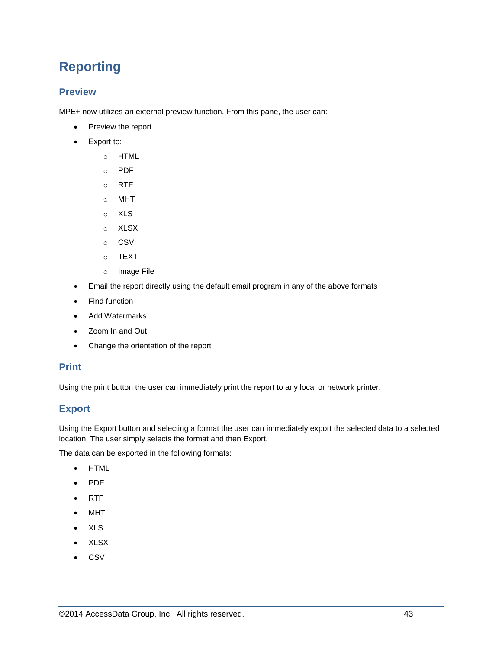# **Reporting**

#### **Preview**

MPE+ now utilizes an external preview function. From this pane, the user can:

- Preview the report
- Export to:
	- o HTML
	- o PDF
	- o RTF
	- o MHT
	- o XLS
	- o XLSX
	- o CSV
	- o TEXT
	- o Image File
- Email the report directly using the default email program in any of the above formats
- Find function
- Add Watermarks
- Zoom In and Out
- Change the orientation of the report

#### **Print**

Using the print button the user can immediately print the report to any local or network printer.

#### **Export**

Using the Export button and selecting a format the user can immediately export the selected data to a selected location. The user simply selects the format and then Export.

The data can be exported in the following formats:

- HTML
- PDF
- RTF
- MHT
- XLS
- XLSX
- CSV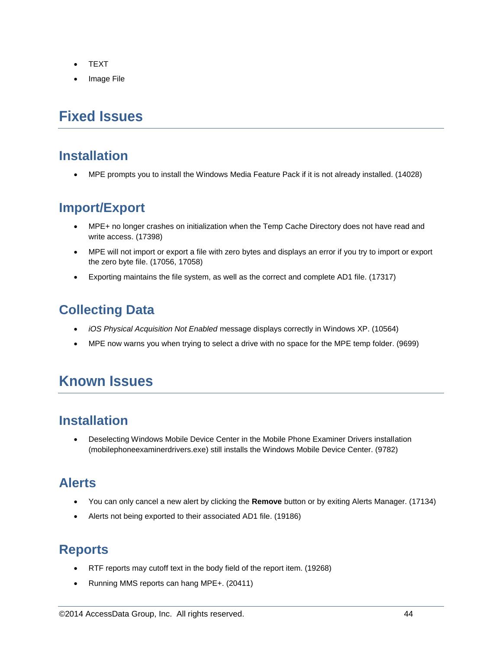- TEXT
- Image File

# **Fixed Issues**

#### **Installation**

MPE prompts you to install the Windows Media Feature Pack if it is not already installed. (14028)

### **Import/Export**

- MPE+ no longer crashes on initialization when the Temp Cache Directory does not have read and write access. (17398)
- MPE will not import or export a file with zero bytes and displays an error if you try to import or export the zero byte file. (17056, 17058)
- Exporting maintains the file system, as well as the correct and complete AD1 file. (17317)

## **Collecting Data**

- *iOS Physical Acquisition Not Enabled* message displays correctly in Windows XP. (10564)
- MPE now warns you when trying to select a drive with no space for the MPE temp folder. (9699)

# **Known Issues**

### **Installation**

 Deselecting Windows Mobile Device Center in the Mobile Phone Examiner Drivers installation (mobilephoneexaminerdrivers.exe) still installs the Windows Mobile Device Center. (9782)

### **Alerts**

- You can only cancel a new alert by clicking the **Remove** button or by exiting Alerts Manager. (17134)
- Alerts not being exported to their associated AD1 file. (19186)

## **Reports**

- RTF reports may cutoff text in the body field of the report item. (19268)
- Running MMS reports can hang MPE+. (20411)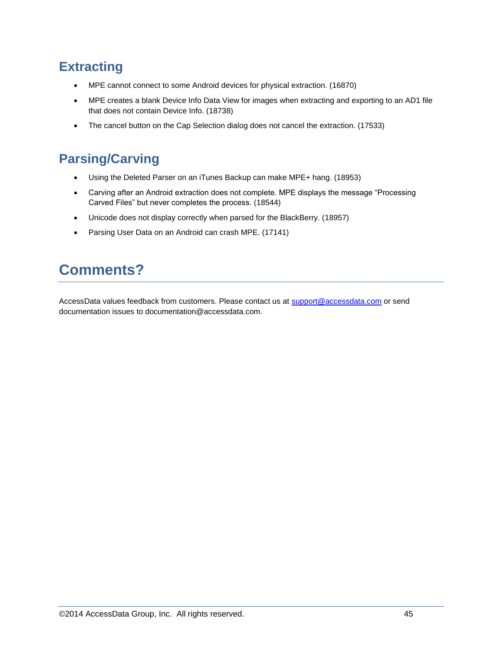## **Extracting**

- MPE cannot connect to some Android devices for physical extraction. (16870)
- MPE creates a blank Device Info Data View for images when extracting and exporting to an AD1 file that does not contain Device Info. (18738)
- The cancel button on the Cap Selection dialog does not cancel the extraction. (17533)

## **Parsing/Carving**

- Using the Deleted Parser on an iTunes Backup can make MPE+ hang. (18953)
- Carving after an Android extraction does not complete. MPE displays the message "Processing Carved Files" but never completes the process. (18544)
- Unicode does not display correctly when parsed for the BlackBerry. (18957)
- Parsing User Data on an Android can crash MPE. (17141)

# **Comments?**

AccessData values feedback from customers. Please contact us at [support@accessdata.com](mailto:support@accessdata.com) or send documentation issues to documentation@accessdata.com.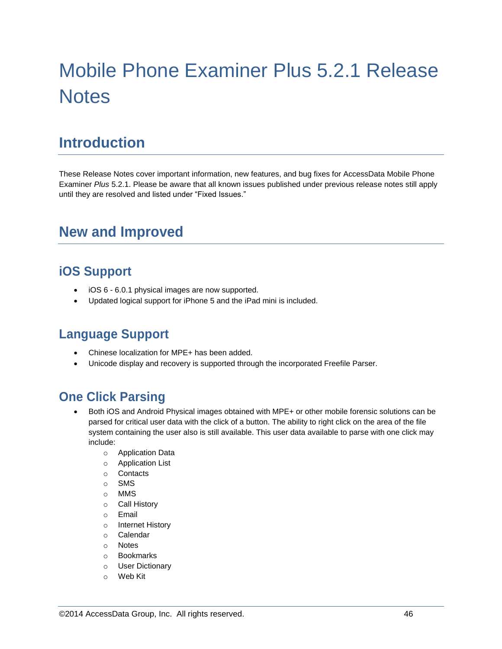# Mobile Phone Examiner Plus 5.2.1 Release **Notes**

# **Introduction**

These Release Notes cover important information, new features, and bug fixes for AccessData Mobile Phone Examiner *Plus* 5.2.1. Please be aware that all known issues published under previous release notes still apply until they are resolved and listed under "Fixed Issues."

# **New and Improved**

### **iOS Support**

- iOS 6 6.0.1 physical images are now supported.
- Updated logical support for iPhone 5 and the iPad mini is included.

### **Language Support**

- Chinese localization for MPE+ has been added.
- Unicode display and recovery is supported through the incorporated Freefile Parser.

## **One Click Parsing**

- Both iOS and Android Physical images obtained with MPE+ or other mobile forensic solutions can be parsed for critical user data with the click of a button. The ability to right click on the area of the file system containing the user also is still available. This user data available to parse with one click may include:
	- o Application Data
	- o Application List
	- o Contacts
	- o SMS
	- o MMS
	- o Call History
	- o Email
	- o Internet History
	- o Calendar
	- o Notes
	- o Bookmarks
	- o User Dictionary
	- o Web Kit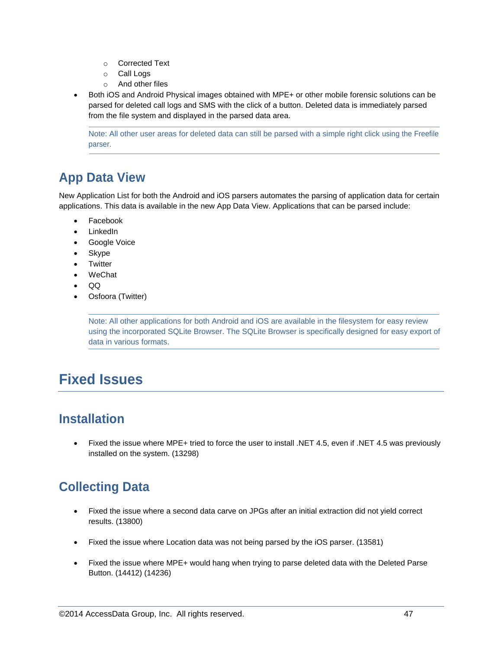- o Corrected Text
- o Call Logs
- o And other files
- Both iOS and Android Physical images obtained with MPE+ or other mobile forensic solutions can be parsed for deleted call logs and SMS with the click of a button. Deleted data is immediately parsed from the file system and displayed in the parsed data area.

Note: All other user areas for deleted data can still be parsed with a simple right click using the Freefile parser.

## **App Data View**

New Application List for both the Android and iOS parsers automates the parsing of application data for certain applications. This data is available in the new App Data View. Applications that can be parsed include:

- Facebook
- LinkedIn
- Google Voice
- Skype
- Twitter
- WeChat
- QQ
- Osfoora (Twitter)

Note: All other applications for both Android and iOS are available in the filesystem for easy review using the incorporated SQLite Browser. The SQLite Browser is specifically designed for easy export of data in various formats.

# **Fixed Issues**

### **Installation**

 Fixed the issue where MPE+ tried to force the user to install .NET 4.5, even if .NET 4.5 was previously installed on the system. (13298)

# **Collecting Data**

- Fixed the issue where a second data carve on JPGs after an initial extraction did not yield correct results. (13800)
- Fixed the issue where Location data was not being parsed by the iOS parser. (13581)
- Fixed the issue where MPE+ would hang when trying to parse deleted data with the Deleted Parse Button. (14412) (14236)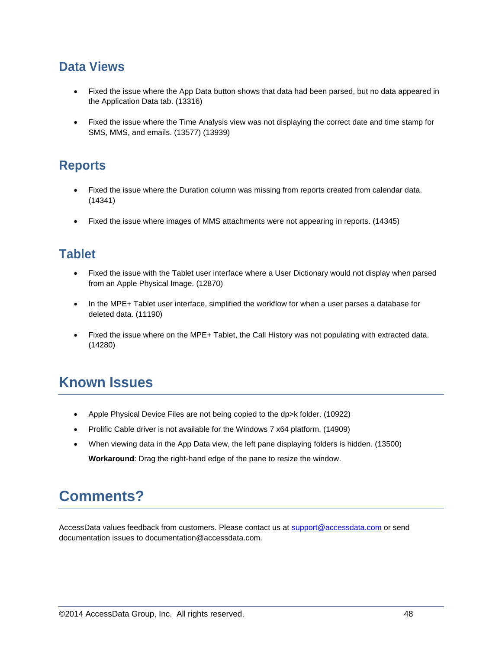#### **Data Views**

- Fixed the issue where the App Data button shows that data had been parsed, but no data appeared in the Application Data tab. (13316)
- Fixed the issue where the Time Analysis view was not displaying the correct date and time stamp for SMS, MMS, and emails. (13577) (13939)

## **Reports**

- Fixed the issue where the Duration column was missing from reports created from calendar data. (14341)
- Fixed the issue where images of MMS attachments were not appearing in reports. (14345)

#### **Tablet**

- Fixed the issue with the Tablet user interface where a User Dictionary would not display when parsed from an Apple Physical Image. (12870)
- In the MPE+ Tablet user interface, simplified the workflow for when a user parses a database for deleted data. (11190)
- Fixed the issue where on the MPE+ Tablet, the Call History was not populating with extracted data. (14280)

# **Known Issues**

- Apple Physical Device Files are not being copied to the dp>k folder. (10922)
- Prolific Cable driver is not available for the Windows 7 x64 platform. (14909)
- When viewing data in the App Data view, the left pane displaying folders is hidden. (13500) **Workaround**: Drag the right-hand edge of the pane to resize the window.

# **Comments?**

AccessData values feedback from customers. Please contact us at [support@accessdata.com](mailto:support@accessdata.com) or send documentation issues to documentation@accessdata.com.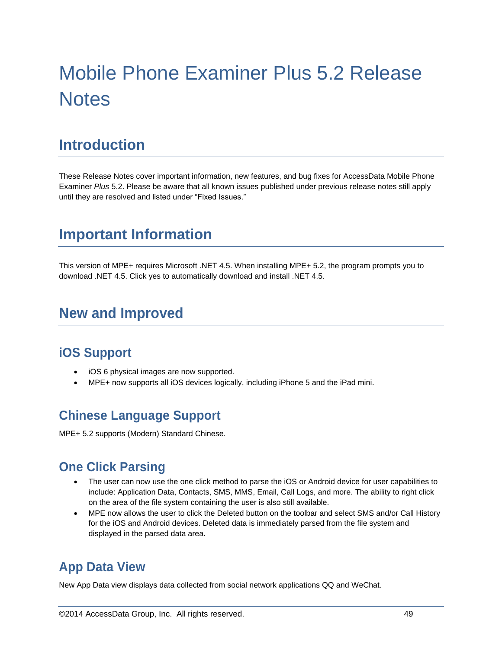# Mobile Phone Examiner Plus 5.2 Release **Notes**

# **Introduction**

These Release Notes cover important information, new features, and bug fixes for AccessData Mobile Phone Examiner *Plus* 5.2. Please be aware that all known issues published under previous release notes still apply until they are resolved and listed under "Fixed Issues."

# **Important Information**

This version of MPE+ requires Microsoft .NET 4.5. When installing MPE+ 5.2, the program prompts you to download .NET 4.5. Click yes to automatically download and install .NET 4.5.

# **New and Improved**

#### **iOS Support**

- iOS 6 physical images are now supported.
- MPE+ now supports all iOS devices logically, including iPhone 5 and the iPad mini.

### **Chinese Language Support**

MPE+ 5.2 supports (Modern) Standard Chinese.

#### **One Click Parsing**

- The user can now use the one click method to parse the iOS or Android device for user capabilities to include: Application Data, Contacts, SMS, MMS, Email, Call Logs, and more. The ability to right click on the area of the file system containing the user is also still available.
- MPE now allows the user to click the Deleted button on the toolbar and select SMS and/or Call History for the iOS and Android devices. Deleted data is immediately parsed from the file system and displayed in the parsed data area.

## **App Data View**

New App Data view displays data collected from social network applications QQ and WeChat.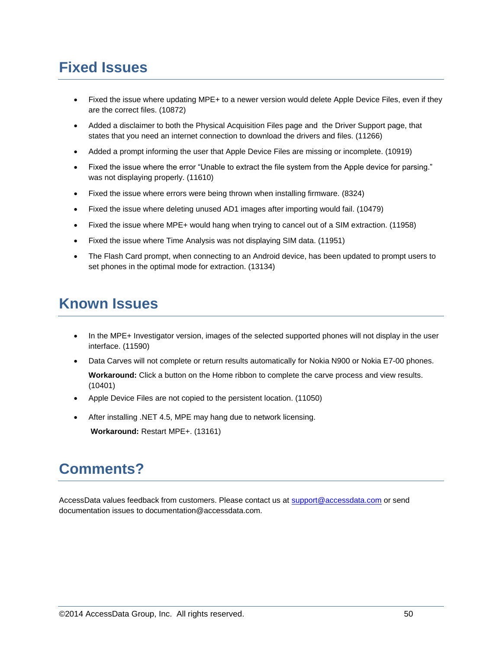# **Fixed Issues**

- Fixed the issue where updating MPE+ to a newer version would delete Apple Device Files, even if they are the correct files. (10872)
- Added a disclaimer to both the Physical Acquisition Files page and the Driver Support page, that states that you need an internet connection to download the drivers and files. (11266)
- Added a prompt informing the user that Apple Device Files are missing or incomplete. (10919)
- Fixed the issue where the error "Unable to extract the file system from the Apple device for parsing." was not displaying properly. (11610)
- Fixed the issue where errors were being thrown when installing firmware. (8324)
- Fixed the issue where deleting unused AD1 images after importing would fail. (10479)
- Fixed the issue where MPE+ would hang when trying to cancel out of a SIM extraction. (11958)
- Fixed the issue where Time Analysis was not displaying SIM data. (11951)
- The Flash Card prompt, when connecting to an Android device, has been updated to prompt users to set phones in the optimal mode for extraction. (13134)

# **Known Issues**

- In the MPE+ Investigator version, images of the selected supported phones will not display in the user interface. (11590)
- Data Carves will not complete or return results automatically for Nokia N900 or Nokia E7-00 phones. **Workaround:** Click a button on the Home ribbon to complete the carve process and view results. (10401)
- Apple Device Files are not copied to the persistent location. (11050)
- After installing .NET 4.5, MPE may hang due to network licensing. **Workaround:** Restart MPE+. (13161)

# **Comments?**

AccessData values feedback from customers. Please contact us at [support@accessdata.com](mailto:support@accessdata.com) or send documentation issues to documentation@accessdata.com.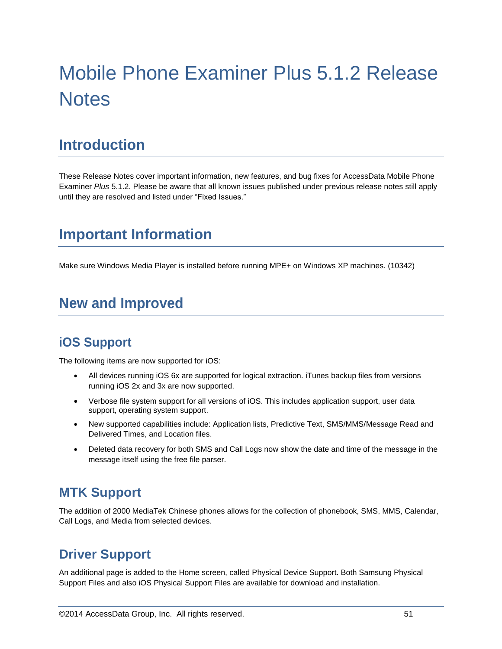# Mobile Phone Examiner Plus 5.1.2 Release **Notes**

# **Introduction**

These Release Notes cover important information, new features, and bug fixes for AccessData Mobile Phone Examiner *Plus* 5.1.2. Please be aware that all known issues published under previous release notes still apply until they are resolved and listed under "Fixed Issues."

# **Important Information**

Make sure Windows Media Player is installed before running MPE+ on Windows XP machines. (10342)

# **New and Improved**

### **iOS Support**

The following items are now supported for iOS:

- All devices running iOS 6x are supported for logical extraction. iTunes backup files from versions running iOS 2x and 3x are now supported.
- Verbose file system support for all versions of iOS. This includes application support, user data support, operating system support.
- New supported capabilities include: Application lists, Predictive Text, SMS/MMS/Message Read and Delivered Times, and Location files.
- Deleted data recovery for both SMS and Call Logs now show the date and time of the message in the message itself using the free file parser.

#### **MTK Support**

The addition of 2000 MediaTek Chinese phones allows for the collection of phonebook, SMS, MMS, Calendar, Call Logs, and Media from selected devices.

## **Driver Support**

An additional page is added to the Home screen, called Physical Device Support. Both Samsung Physical Support Files and also iOS Physical Support Files are available for download and installation.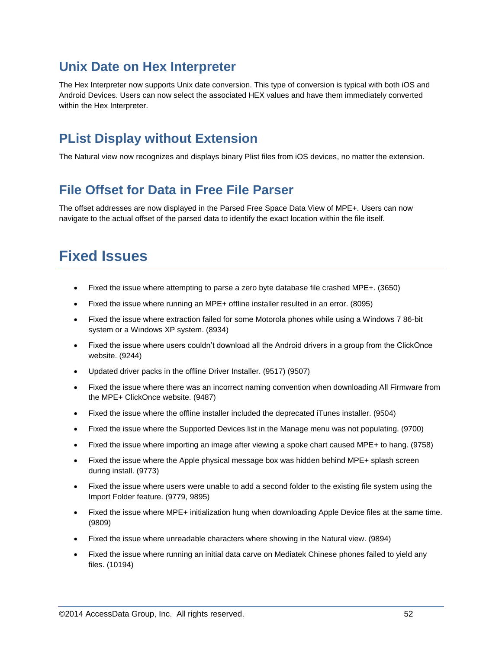### **Unix Date on Hex Interpreter**

The Hex Interpreter now supports Unix date conversion. This type of conversion is typical with both iOS and Android Devices. Users can now select the associated HEX values and have them immediately converted within the Hex Interpreter.

## **PList Display without Extension**

The Natural view now recognizes and displays binary Plist files from iOS devices, no matter the extension.

## **File Offset for Data in Free File Parser**

The offset addresses are now displayed in the Parsed Free Space Data View of MPE+. Users can now navigate to the actual offset of the parsed data to identify the exact location within the file itself.

# **Fixed Issues**

- Fixed the issue where attempting to parse a zero byte database file crashed MPE+. (3650)
- Fixed the issue where running an MPE+ offline installer resulted in an error. (8095)
- Fixed the issue where extraction failed for some Motorola phones while using a Windows 7 86-bit system or a Windows XP system. (8934)
- Fixed the issue where users couldn't download all the Android drivers in a group from the ClickOnce website. (9244)
- Updated driver packs in the offline Driver Installer. (9517) (9507)
- Fixed the issue where there was an incorrect naming convention when downloading All Firmware from the MPE+ ClickOnce website. (9487)
- Fixed the issue where the offline installer included the deprecated iTunes installer. (9504)
- Fixed the issue where the Supported Devices list in the Manage menu was not populating. (9700)
- Fixed the issue where importing an image after viewing a spoke chart caused MPE+ to hang. (9758)
- Fixed the issue where the Apple physical message box was hidden behind MPE+ splash screen during install. (9773)
- Fixed the issue where users were unable to add a second folder to the existing file system using the Import Folder feature. (9779, 9895)
- Fixed the issue where MPE+ initialization hung when downloading Apple Device files at the same time. (9809)
- Fixed the issue where unreadable characters where showing in the Natural view. (9894)
- Fixed the issue where running an initial data carve on Mediatek Chinese phones failed to yield any files. (10194)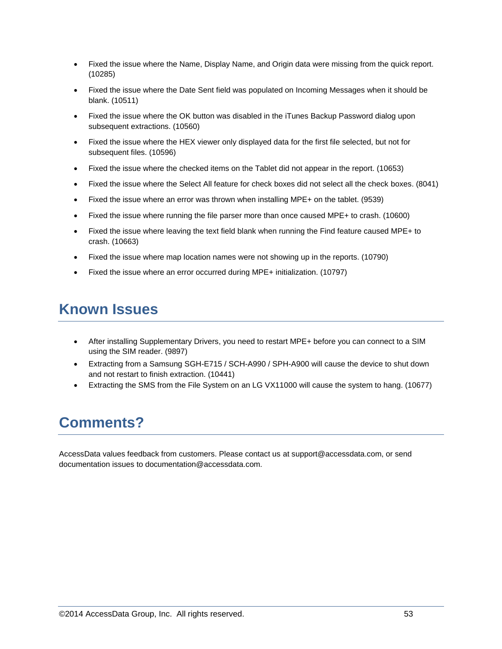- Fixed the issue where the Name, Display Name, and Origin data were missing from the quick report. (10285)
- Fixed the issue where the Date Sent field was populated on Incoming Messages when it should be blank. (10511)
- Fixed the issue where the OK button was disabled in the iTunes Backup Password dialog upon subsequent extractions. (10560)
- Fixed the issue where the HEX viewer only displayed data for the first file selected, but not for subsequent files. (10596)
- Fixed the issue where the checked items on the Tablet did not appear in the report. (10653)
- Fixed the issue where the Select All feature for check boxes did not select all the check boxes. (8041)
- Fixed the issue where an error was thrown when installing MPE+ on the tablet. (9539)
- Fixed the issue where running the file parser more than once caused MPE+ to crash. (10600)
- Fixed the issue where leaving the text field blank when running the Find feature caused MPE+ to crash. (10663)
- Fixed the issue where map location names were not showing up in the reports. (10790)
- Fixed the issue where an error occurred during MPE+ initialization. (10797)

# **Known Issues**

- After installing Supplementary Drivers, you need to restart MPE+ before you can connect to a SIM using the SIM reader. (9897)
- Extracting from a Samsung SGH-E715 / SCH-A990 / SPH-A900 will cause the device to shut down and not restart to finish extraction. (10441)
- Extracting the SMS from the File System on an LG VX11000 will cause the system to hang. (10677)

# **Comments?**

AccessData values feedback from customers. Please contact us at support@accessdata.com, or send documentation issues to documentation@accessdata.com.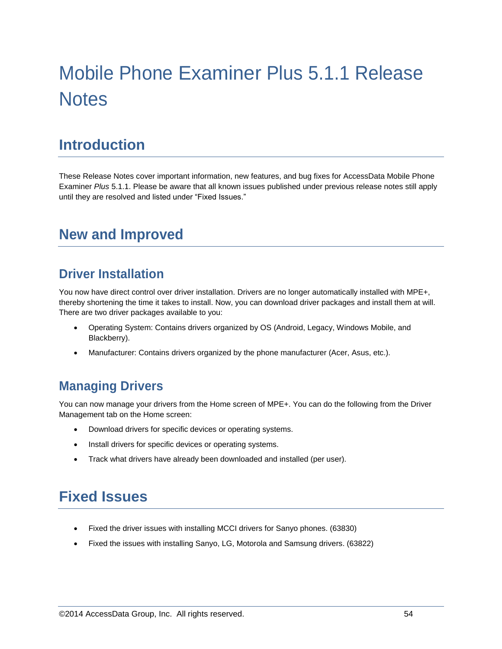# Mobile Phone Examiner Plus 5.1.1 Release **Notes**

# **Introduction**

These Release Notes cover important information, new features, and bug fixes for AccessData Mobile Phone Examiner *Plus* 5.1.1. Please be aware that all known issues published under previous release notes still apply until they are resolved and listed under "Fixed Issues."

# **New and Improved**

## **Driver Installation**

You now have direct control over driver installation. Drivers are no longer automatically installed with MPE+, thereby shortening the time it takes to install. Now, you can download driver packages and install them at will. There are two driver packages available to you:

- Operating System: Contains drivers organized by OS (Android, Legacy, Windows Mobile, and Blackberry).
- Manufacturer: Contains drivers organized by the phone manufacturer (Acer, Asus, etc.).

### **Managing Drivers**

You can now manage your drivers from the Home screen of MPE+. You can do the following from the Driver Management tab on the Home screen:

- Download drivers for specific devices or operating systems.
- Install drivers for specific devices or operating systems.
- Track what drivers have already been downloaded and installed (per user).

# **Fixed Issues**

- Fixed the driver issues with installing MCCI drivers for Sanyo phones. (63830)
- Fixed the issues with installing Sanyo, LG, Motorola and Samsung drivers. (63822)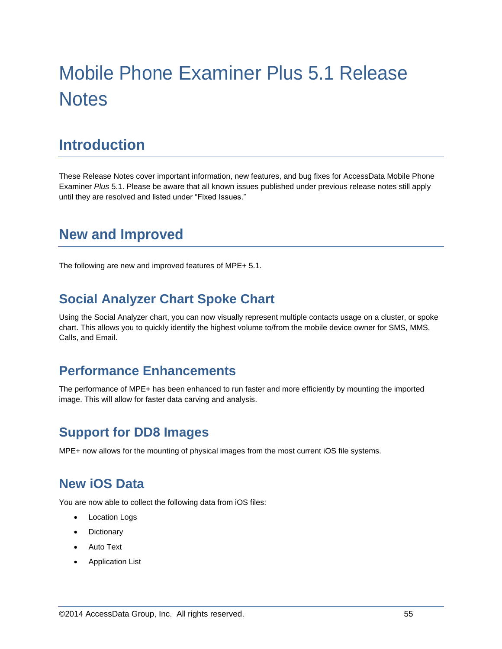# Mobile Phone Examiner Plus 5.1 Release **Notes**

# **Introduction**

These Release Notes cover important information, new features, and bug fixes for AccessData Mobile Phone Examiner *Plus* 5.1. Please be aware that all known issues published under previous release notes still apply until they are resolved and listed under "Fixed Issues."

# **New and Improved**

The following are new and improved features of MPE+ 5.1.

#### **Social Analyzer Chart Spoke Chart**

Using the Social Analyzer chart, you can now visually represent multiple contacts usage on a cluster, or spoke chart. This allows you to quickly identify the highest volume to/from the mobile device owner for SMS, MMS, Calls, and Email.

#### **Performance Enhancements**

The performance of MPE+ has been enhanced to run faster and more efficiently by mounting the imported image. This will allow for faster data carving and analysis.

### **Support for DD8 Images**

MPE+ now allows for the mounting of physical images from the most current iOS file systems.

#### **New iOS Data**

You are now able to collect the following data from iOS files:

- Location Logs
- **Dictionary**
- Auto Text
- Application List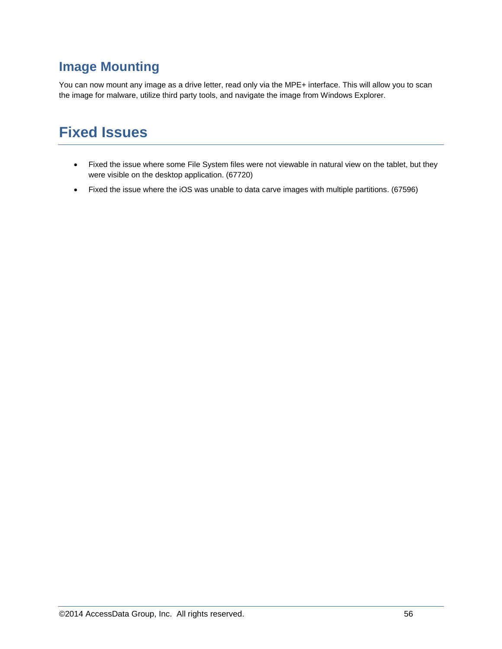## **Image Mounting**

You can now mount any image as a drive letter, read only via the MPE+ interface. This will allow you to scan the image for malware, utilize third party tools, and navigate the image from Windows Explorer.

# **Fixed Issues**

- Fixed the issue where some File System files were not viewable in natural view on the tablet, but they were visible on the desktop application. (67720)
- Fixed the issue where the iOS was unable to data carve images with multiple partitions. (67596)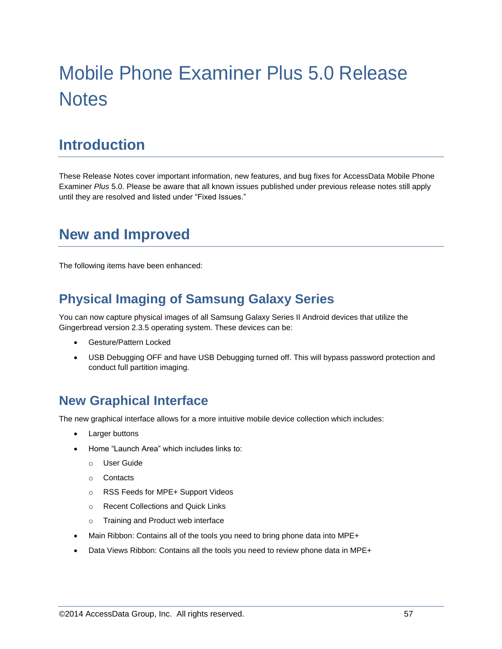# Mobile Phone Examiner Plus 5.0 Release **Notes**

# **Introduction**

These Release Notes cover important information, new features, and bug fixes for AccessData Mobile Phone Examiner *Plus* 5.0. Please be aware that all known issues published under previous release notes still apply until they are resolved and listed under "Fixed Issues."

# **New and Improved**

The following items have been enhanced:

## **Physical Imaging of Samsung Galaxy Series**

You can now capture physical images of all Samsung Galaxy Series II Android devices that utilize the Gingerbread version 2.3.5 operating system. These devices can be:

- Gesture/Pattern Locked
- USB Debugging OFF and have USB Debugging turned off. This will bypass password protection and conduct full partition imaging.

### **New Graphical Interface**

The new graphical interface allows for a more intuitive mobile device collection which includes:

- Larger buttons
- Home "Launch Area" which includes links to:
	- o User Guide
	- o Contacts
	- o RSS Feeds for MPE+ Support Videos
	- o Recent Collections and Quick Links
	- o Training and Product web interface
- Main Ribbon: Contains all of the tools you need to bring phone data into MPE+
- Data Views Ribbon: Contains all the tools you need to review phone data in MPE+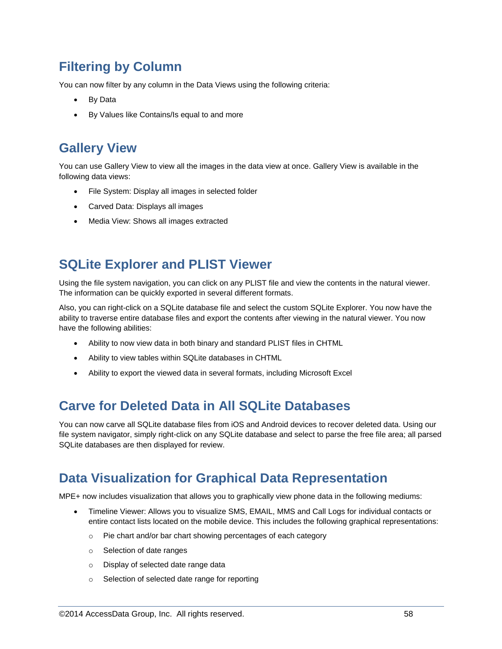## **Filtering by Column**

You can now filter by any column in the Data Views using the following criteria:

- By Data
- By Values like Contains/Is equal to and more

### **Gallery View**

You can use Gallery View to view all the images in the data view at once. Gallery View is available in the following data views:

- File System: Display all images in selected folder
- Carved Data: Displays all images
- Media View: Shows all images extracted

#### **SQLite Explorer and PLIST Viewer**

Using the file system navigation, you can click on any PLIST file and view the contents in the natural viewer. The information can be quickly exported in several different formats.

Also, you can right-click on a SQLite database file and select the custom SQLite Explorer. You now have the ability to traverse entire database files and export the contents after viewing in the natural viewer. You now have the following abilities:

- Ability to now view data in both binary and standard PLIST files in CHTML
- Ability to view tables within SQLite databases in CHTML
- Ability to export the viewed data in several formats, including Microsoft Excel

### **Carve for Deleted Data in All SQLite Databases**

You can now carve all SQLite database files from iOS and Android devices to recover deleted data. Using our file system navigator, simply right-click on any SQLite database and select to parse the free file area; all parsed SQLite databases are then displayed for review.

### **Data Visualization for Graphical Data Representation**

MPE+ now includes visualization that allows you to graphically view phone data in the following mediums:

- Timeline Viewer: Allows you to visualize SMS, EMAIL, MMS and Call Logs for individual contacts or entire contact lists located on the mobile device. This includes the following graphical representations:
	- o Pie chart and/or bar chart showing percentages of each category
	- o Selection of date ranges
	- o Display of selected date range data
	- o Selection of selected date range for reporting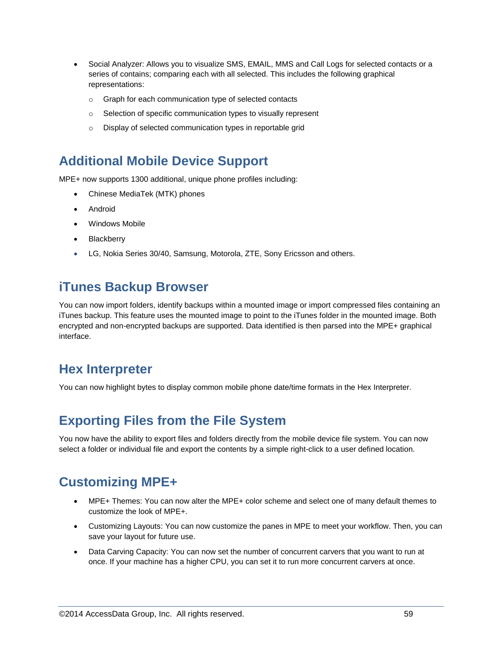- Social Analyzer: Allows you to visualize SMS, EMAIL, MMS and Call Logs for selected contacts or a series of contains; comparing each with all selected. This includes the following graphical representations:
	- o Graph for each communication type of selected contacts
	- o Selection of specific communication types to visually represent
	- o Display of selected communication types in reportable grid

#### **Additional Mobile Device Support**

MPE+ now supports 1300 additional, unique phone profiles including:

- Chinese MediaTek (MTK) phones
- Android
- Windows Mobile
- Blackberry
- LG, Nokia Series 30/40, Samsung, Motorola, ZTE, Sony Ericsson and others.

## **iTunes Backup Browser**

You can now import folders, identify backups within a mounted image or import compressed files containing an iTunes backup. This feature uses the mounted image to point to the iTunes folder in the mounted image. Both encrypted and non-encrypted backups are supported. Data identified is then parsed into the MPE+ graphical interface.

#### **Hex Interpreter**

You can now highlight bytes to display common mobile phone date/time formats in the Hex Interpreter.

### **Exporting Files from the File System**

You now have the ability to export files and folders directly from the mobile device file system. You can now select a folder or individual file and export the contents by a simple right-click to a user defined location.

## **Customizing MPE+**

- MPE+ Themes: You can now alter the MPE+ color scheme and select one of many default themes to customize the look of MPE+.
- Customizing Layouts: You can now customize the panes in MPE to meet your workflow. Then, you can save your layout for future use.
- Data Carving Capacity: You can now set the number of concurrent carvers that you want to run at once. If your machine has a higher CPU, you can set it to run more concurrent carvers at once.